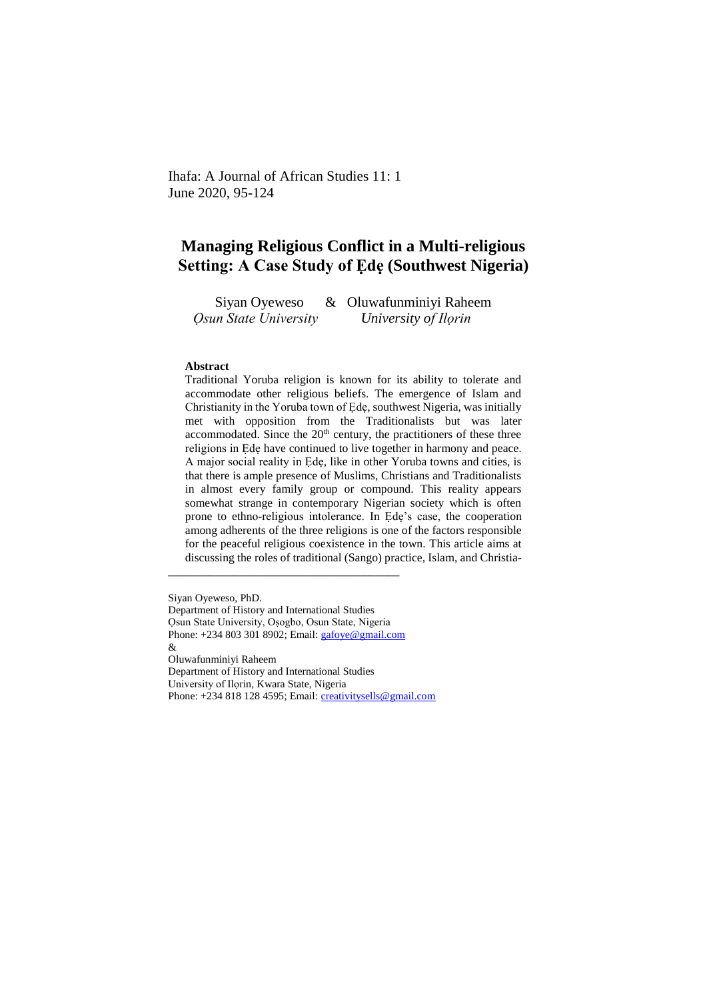Ihafa: A Journal of African Studies 11: 1 June 2020, 95-124

# **Managing Religious Conflict in a Multi-religious Setting: A Case Study of Ẹdẹ (Southwest Nigeria)**

Siyan Oyeweso & Oluwafunminiyi Raheem  *Ọsun State University University of Ilọrin*

#### **Abstract**

Traditional Yoruba religion is known for its ability to tolerate and accommodate other religious beliefs. The emergence of Islam and Christianity in the Yoruba town of Ẹdẹ, southwest Nigeria, was initially met with opposition from the Traditionalists but was later accommodated. Since the  $20<sup>th</sup>$  century, the practitioners of these three religions in Ẹdẹ have continued to live together in harmony and peace. A major social reality in Ẹdẹ, like in other Yoruba towns and cities, is that there is ample presence of Muslims, Christians and Traditionalists in almost every family group or compound. This reality appears somewhat strange in contemporary Nigerian society which is often prone to ethno-religious intolerance. In Ede's case, the cooperation among adherents of the three religions is one of the factors responsible for the peaceful religious coexistence in the town. This article aims at discussing the roles of traditional (Sango) practice, Islam, and Christia-

Siyan Oyeweso, PhD. Department of History and International Studies Ọsun State University, Oṣogbo, Osun State, Nigeria Phone: +234 803 301 8902; Email[: gafoye@gmail.com](mailto:gafoye@gmail.com) & Oluwafunminiyi Raheem Department of History and International Studies University of Ilọrin, Kwara State, Nigeria Phone: +234 818 128 4595; Email: [creativitysells@gmail.com](mailto:creativitysells@gmail.com)

\_\_\_\_\_\_\_\_\_\_\_\_\_\_\_\_\_\_\_\_\_\_\_\_\_\_\_\_\_\_\_\_\_\_\_\_\_\_\_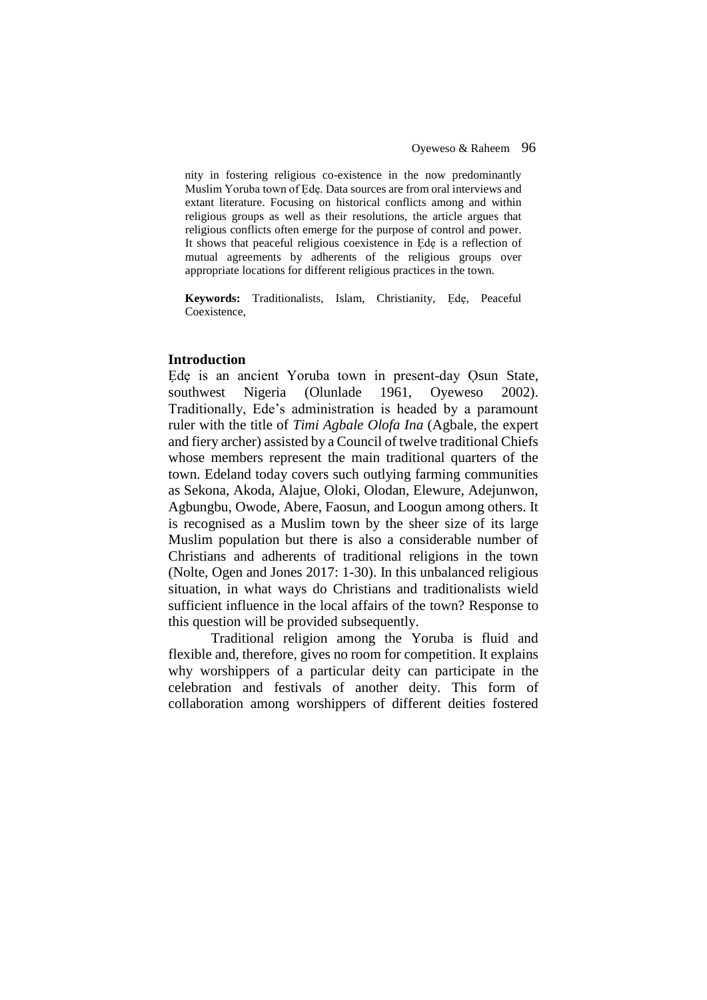nity in fostering religious co-existence in the now predominantly Muslim Yoruba town of Ẹdẹ. Data sources are from oral interviews and extant literature. Focusing on historical conflicts among and within religious groups as well as their resolutions, the article argues that religious conflicts often emerge for the purpose of control and power. It shows that peaceful religious coexistence in Ede is a reflection of mutual agreements by adherents of the religious groups over appropriate locations for different religious practices in the town.

**Keywords:** Traditionalists, Islam, Christianity, Ẹdẹ, Peaceful Coexistence,

## **Introduction**

Ede is an ancient Yoruba town in present-day Osun State, southwest Nigeria (Olunlade 1961, Oyeweso 2002). Traditionally, Ede's administration is headed by a paramount ruler with the title of *Timi Agbale Olofa Ina* (Agbale, the expert and fiery archer) assisted by a Council of twelve traditional Chiefs whose members represent the main traditional quarters of the town. Edeland today covers such outlying farming communities as Sekona, Akoda, Alajue, Oloki, Olodan, Elewure, Adejunwon, Agbungbu, Owode, Abere, Faosun, and Loogun among others. It is recognised as a Muslim town by the sheer size of its large Muslim population but there is also a considerable number of Christians and adherents of traditional religions in the town (Nolte, Ogen and Jones 2017: 1-30). In this unbalanced religious situation, in what ways do Christians and traditionalists wield sufficient influence in the local affairs of the town? Response to this question will be provided subsequently.

Traditional religion among the Yoruba is fluid and flexible and, therefore, gives no room for competition. It explains why worshippers of a particular deity can participate in the celebration and festivals of another deity. This form of collaboration among worshippers of different deities fostered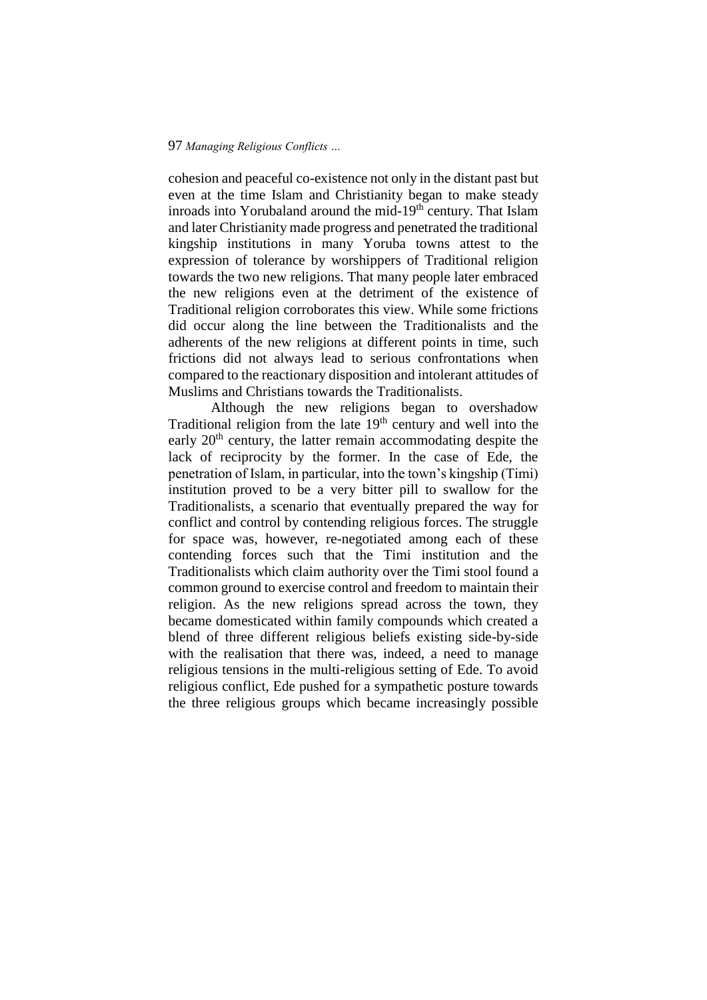cohesion and peaceful co-existence not only in the distant past but even at the time Islam and Christianity began to make steady inroads into Yorubaland around the mid-19<sup>th</sup> century. That Islam and later Christianity made progress and penetrated the traditional kingship institutions in many Yoruba towns attest to the expression of tolerance by worshippers of Traditional religion towards the two new religions. That many people later embraced the new religions even at the detriment of the existence of Traditional religion corroborates this view. While some frictions did occur along the line between the Traditionalists and the adherents of the new religions at different points in time, such frictions did not always lead to serious confrontations when compared to the reactionary disposition and intolerant attitudes of Muslims and Christians towards the Traditionalists.

Although the new religions began to overshadow Traditional religion from the late  $19<sup>th</sup>$  century and well into the early 20<sup>th</sup> century, the latter remain accommodating despite the lack of reciprocity by the former. In the case of Ede, the penetration of Islam, in particular, into the town's kingship (Timi) institution proved to be a very bitter pill to swallow for the Traditionalists, a scenario that eventually prepared the way for conflict and control by contending religious forces. The struggle for space was, however, re-negotiated among each of these contending forces such that the Timi institution and the Traditionalists which claim authority over the Timi stool found a common ground to exercise control and freedom to maintain their religion. As the new religions spread across the town, they became domesticated within family compounds which created a blend of three different religious beliefs existing side-by-side with the realisation that there was, indeed, a need to manage religious tensions in the multi-religious setting of Ede. To avoid religious conflict, Ede pushed for a sympathetic posture towards the three religious groups which became increasingly possible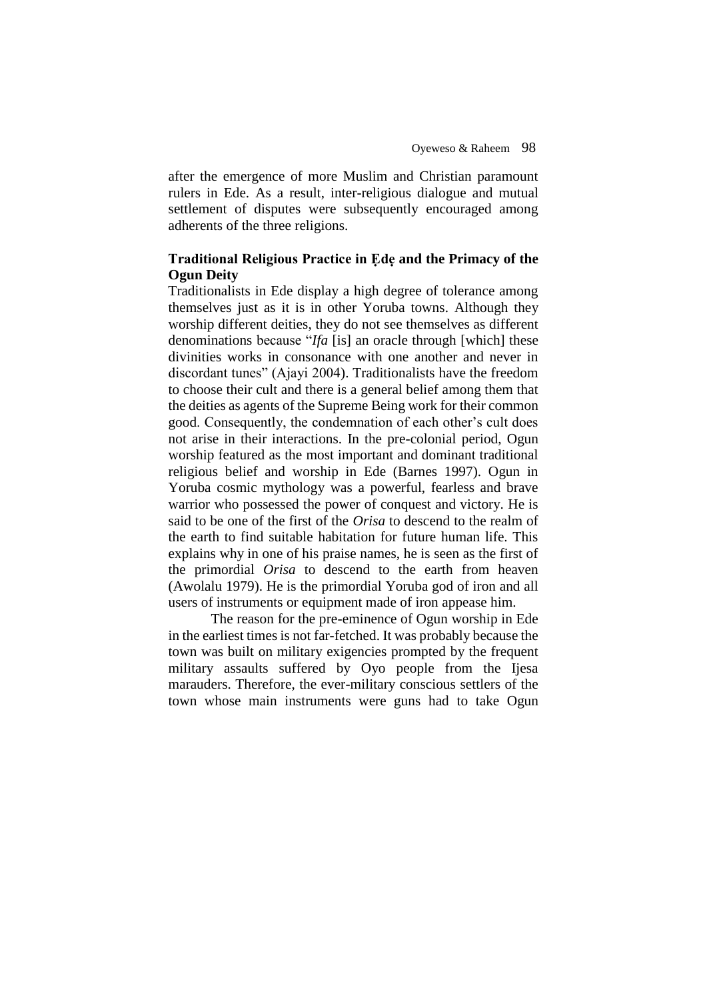after the emergence of more Muslim and Christian paramount rulers in Ede. As a result, inter-religious dialogue and mutual settlement of disputes were subsequently encouraged among adherents of the three religions.

## **Traditional Religious Practice in Ẹdẹ and the Primacy of the Ogun Deity**

Traditionalists in Ede display a high degree of tolerance among themselves just as it is in other Yoruba towns. Although they worship different deities, they do not see themselves as different denominations because "*Ifa* [is] an oracle through [which] these divinities works in consonance with one another and never in discordant tunes" (Ajayi 2004). Traditionalists have the freedom to choose their cult and there is a general belief among them that the deities as agents of the Supreme Being work for their common good. Consequently, the condemnation of each other's cult does not arise in their interactions. In the pre-colonial period, Ogun worship featured as the most important and dominant traditional religious belief and worship in Ede (Barnes 1997). Ogun in Yoruba cosmic mythology was a powerful, fearless and brave warrior who possessed the power of conquest and victory. He is said to be one of the first of the *Orisa* to descend to the realm of the earth to find suitable habitation for future human life. This explains why in one of his praise names, he is seen as the first of the primordial *Orisa* to descend to the earth from heaven (Awolalu 1979). He is the primordial Yoruba god of iron and all users of instruments or equipment made of iron appease him.

The reason for the pre-eminence of Ogun worship in Ede in the earliest times is not far-fetched. It was probably because the town was built on military exigencies prompted by the frequent military assaults suffered by Oyo people from the Ijesa marauders. Therefore, the ever-military conscious settlers of the town whose main instruments were guns had to take Ogun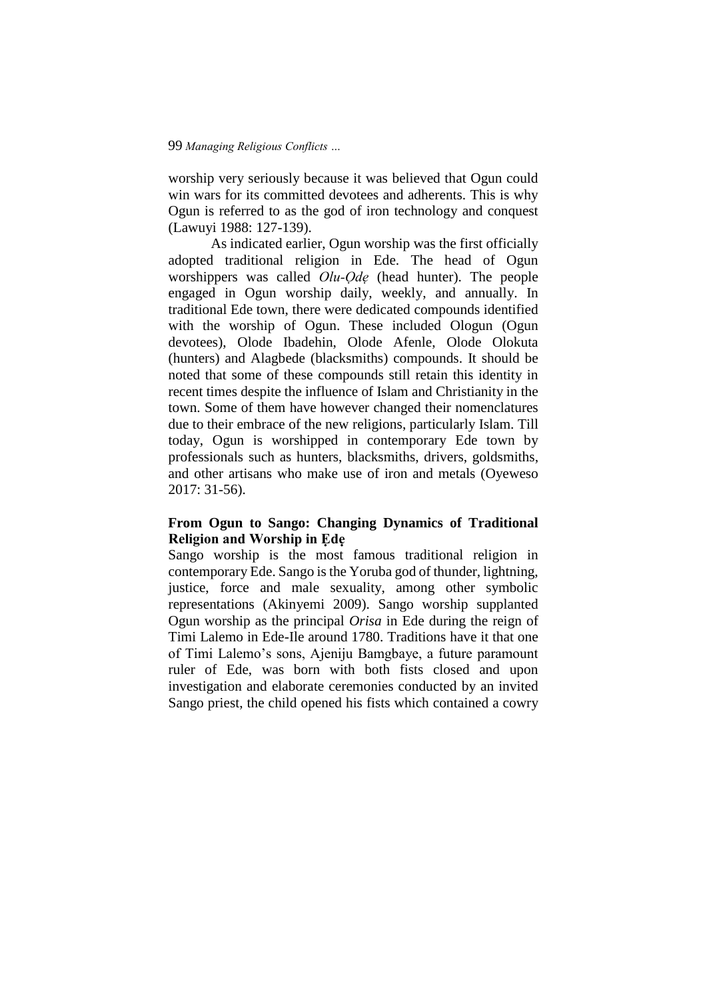worship very seriously because it was believed that Ogun could win wars for its committed devotees and adherents. This is why Ogun is referred to as the god of iron technology and conquest (Lawuyi 1988: 127-139).

As indicated earlier, Ogun worship was the first officially adopted traditional religion in Ede. The head of Ogun worshippers was called *Olu-Ọdẹ* (head hunter). The people engaged in Ogun worship daily, weekly, and annually. In traditional Ede town, there were dedicated compounds identified with the worship of Ogun. These included Ologun (Ogun devotees), Olode Ibadehin, Olode Afenle, Olode Olokuta (hunters) and Alagbede (blacksmiths) compounds. It should be noted that some of these compounds still retain this identity in recent times despite the influence of Islam and Christianity in the town. Some of them have however changed their nomenclatures due to their embrace of the new religions, particularly Islam. Till today, Ogun is worshipped in contemporary Ede town by professionals such as hunters, blacksmiths, drivers, goldsmiths, and other artisans who make use of iron and metals (Oyeweso 2017: 31-56).

## **From Ogun to Sango: Changing Dynamics of Traditional Religion and Worship in Ẹdẹ**

Sango worship is the most famous traditional religion in contemporary Ede. Sango is the Yoruba god of thunder, lightning, justice, force and male sexuality, among other symbolic representations (Akinyemi 2009). Sango worship supplanted Ogun worship as the principal *Orisa* in Ede during the reign of Timi Lalemo in Ede-Ile around 1780. Traditions have it that one of Timi Lalemo's sons, Ajeniju Bamgbaye, a future paramount ruler of Ede, was born with both fists closed and upon investigation and elaborate ceremonies conducted by an invited Sango priest, the child opened his fists which contained a cowry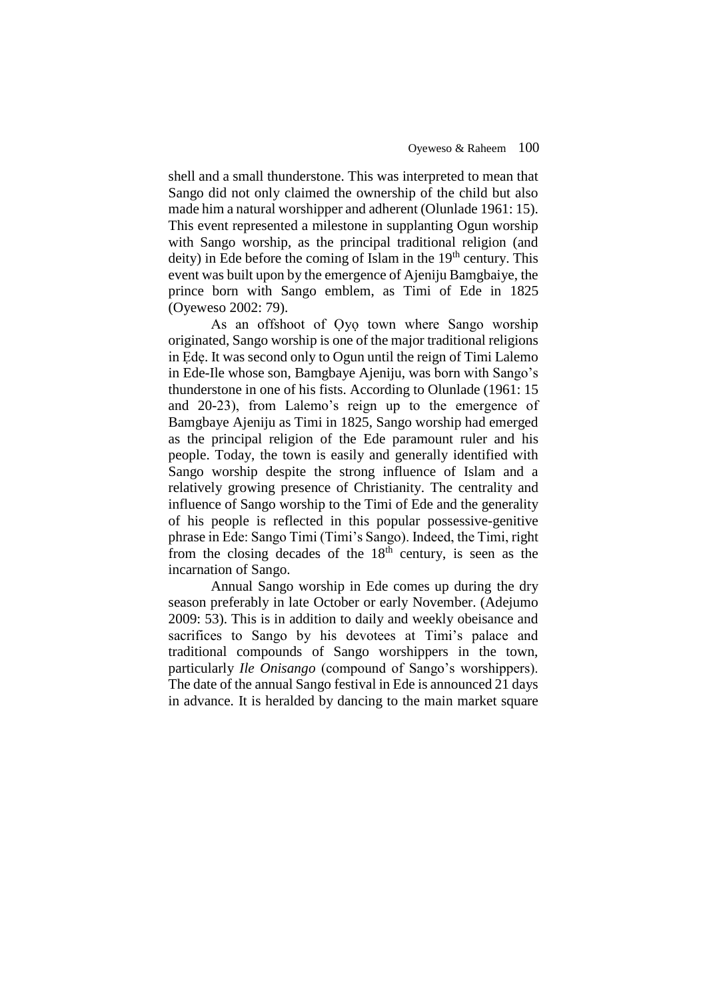shell and a small thunderstone. This was interpreted to mean that Sango did not only claimed the ownership of the child but also made him a natural worshipper and adherent (Olunlade 1961: 15). This event represented a milestone in supplanting Ogun worship with Sango worship, as the principal traditional religion (and deity) in Ede before the coming of Islam in the  $19<sup>th</sup>$  century. This event was built upon by the emergence of Ajeniju Bamgbaiye, the prince born with Sango emblem, as Timi of Ede in 1825 (Oyeweso 2002: 79).

As an offshoot of Ọyọ town where Sango worship originated, Sango worship is one of the major traditional religions in Ẹdẹ. It was second only to Ogun until the reign of Timi Lalemo in Ede-Ile whose son, Bamgbaye Ajeniju, was born with Sango's thunderstone in one of his fists. According to Olunlade (1961: 15 and 20-23), from Lalemo's reign up to the emergence of Bamgbaye Ajeniju as Timi in 1825, Sango worship had emerged as the principal religion of the Ede paramount ruler and his people. Today, the town is easily and generally identified with Sango worship despite the strong influence of Islam and a relatively growing presence of Christianity. The centrality and influence of Sango worship to the Timi of Ede and the generality of his people is reflected in this popular possessive-genitive phrase in Ede: Sango Timi (Timi's Sango). Indeed, the Timi, right from the closing decades of the 18th century, is seen as the incarnation of Sango.

Annual Sango worship in Ede comes up during the dry season preferably in late October or early November. (Adejumo 2009: 53). This is in addition to daily and weekly obeisance and sacrifices to Sango by his devotees at Timi's palace and traditional compounds of Sango worshippers in the town, particularly *Ile Onisango* (compound of Sango's worshippers). The date of the annual Sango festival in Ede is announced 21 days in advance. It is heralded by dancing to the main market square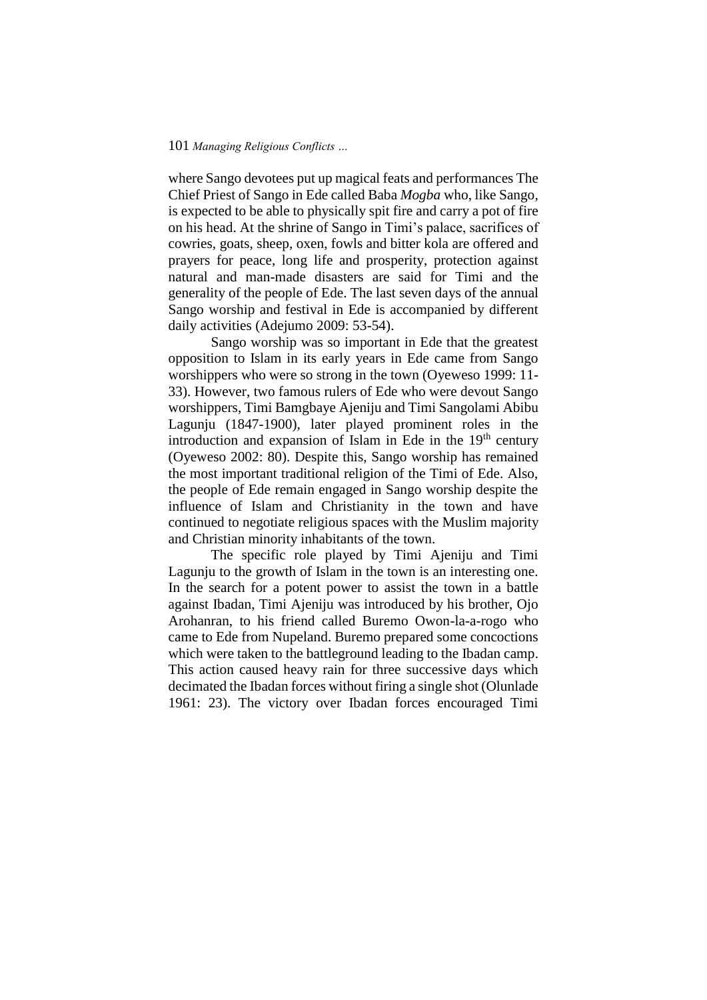where Sango devotees put up magical feats and performances The Chief Priest of Sango in Ede called Baba *Mogba* who, like Sango, is expected to be able to physically spit fire and carry a pot of fire on his head. At the shrine of Sango in Timi's palace, sacrifices of cowries, goats, sheep, oxen, fowls and bitter kola are offered and prayers for peace, long life and prosperity, protection against natural and man-made disasters are said for Timi and the generality of the people of Ede. The last seven days of the annual Sango worship and festival in Ede is accompanied by different daily activities (Adejumo 2009: 53-54).

Sango worship was so important in Ede that the greatest opposition to Islam in its early years in Ede came from Sango worshippers who were so strong in the town (Oyeweso 1999: 11- 33). However, two famous rulers of Ede who were devout Sango worshippers, Timi Bamgbaye Ajeniju and Timi Sangolami Abibu Lagunju (1847-1900), later played prominent roles in the introduction and expansion of Islam in Ede in the 19<sup>th</sup> century (Oyeweso 2002: 80). Despite this, Sango worship has remained the most important traditional religion of the Timi of Ede. Also, the people of Ede remain engaged in Sango worship despite the influence of Islam and Christianity in the town and have continued to negotiate religious spaces with the Muslim majority and Christian minority inhabitants of the town.

The specific role played by Timi Ajeniju and Timi Lagunju to the growth of Islam in the town is an interesting one. In the search for a potent power to assist the town in a battle against Ibadan, Timi Ajeniju was introduced by his brother, Ojo Arohanran, to his friend called Buremo Owon-la-a-rogo who came to Ede from Nupeland. Buremo prepared some concoctions which were taken to the battleground leading to the Ibadan camp. This action caused heavy rain for three successive days which decimated the Ibadan forces without firing a single shot (Olunlade 1961: 23). The victory over Ibadan forces encouraged Timi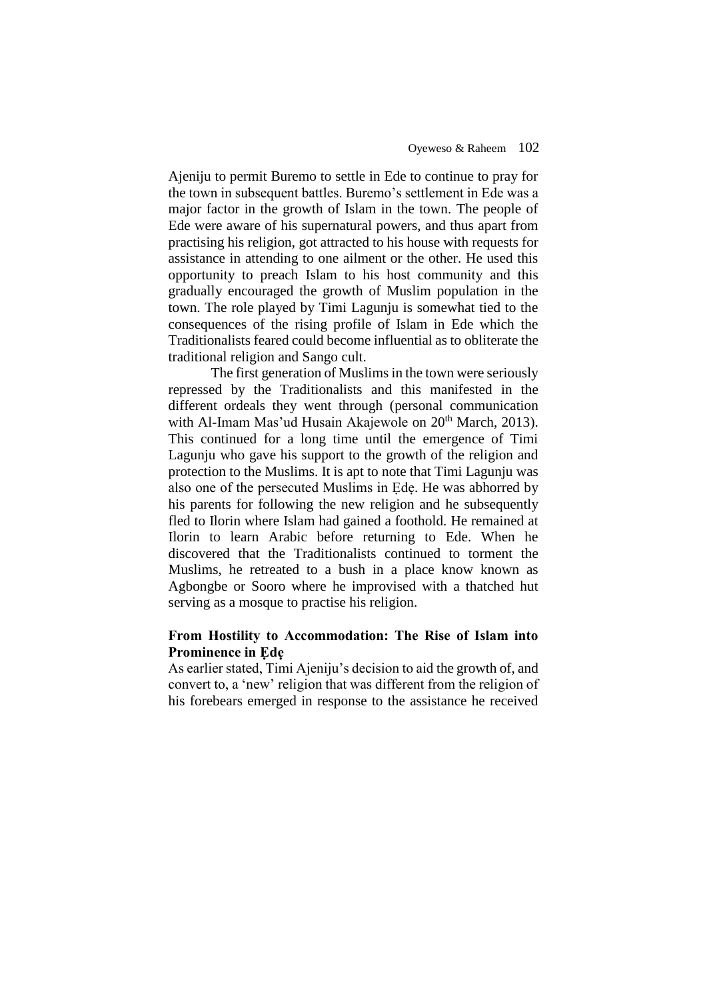Ajeniju to permit Buremo to settle in Ede to continue to pray for the town in subsequent battles. Buremo's settlement in Ede was a major factor in the growth of Islam in the town. The people of Ede were aware of his supernatural powers, and thus apart from practising his religion, got attracted to his house with requests for assistance in attending to one ailment or the other. He used this opportunity to preach Islam to his host community and this gradually encouraged the growth of Muslim population in the town. The role played by Timi Lagunju is somewhat tied to the consequences of the rising profile of Islam in Ede which the Traditionalists feared could become influential as to obliterate the traditional religion and Sango cult.

The first generation of Muslims in the town were seriously repressed by the Traditionalists and this manifested in the different ordeals they went through (personal communication with Al-Imam Mas'ud Husain Akajewole on 20<sup>th</sup> March, 2013). This continued for a long time until the emergence of Timi Lagunju who gave his support to the growth of the religion and protection to the Muslims. It is apt to note that Timi Lagunju was also one of the persecuted Muslims in Ede. He was abhorred by his parents for following the new religion and he subsequently fled to Ilorin where Islam had gained a foothold. He remained at Ilorin to learn Arabic before returning to Ede. When he discovered that the Traditionalists continued to torment the Muslims, he retreated to a bush in a place know known as Agbongbe or Sooro where he improvised with a thatched hut serving as a mosque to practise his religion.

## **From Hostility to Accommodation: The Rise of Islam into Prominence in Ẹdẹ**

As earlier stated, Timi Ajeniju's decision to aid the growth of, and convert to, a 'new' religion that was different from the religion of his forebears emerged in response to the assistance he received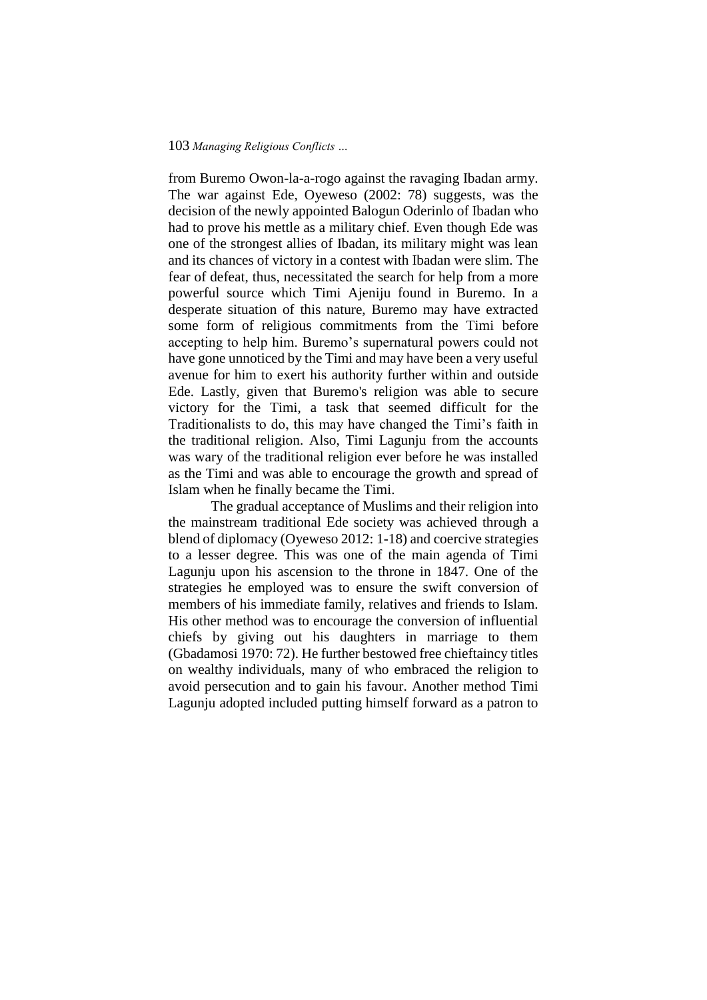from Buremo Owon-la-a-rogo against the ravaging Ibadan army. The war against Ede, Oyeweso (2002: 78) suggests, was the decision of the newly appointed Balogun Oderinlo of Ibadan who had to prove his mettle as a military chief. Even though Ede was one of the strongest allies of Ibadan, its military might was lean and its chances of victory in a contest with Ibadan were slim. The fear of defeat, thus, necessitated the search for help from a more powerful source which Timi Ajeniju found in Buremo. In a desperate situation of this nature, Buremo may have extracted some form of religious commitments from the Timi before accepting to help him. Buremo's supernatural powers could not have gone unnoticed by the Timi and may have been a very useful avenue for him to exert his authority further within and outside Ede. Lastly, given that Buremo's religion was able to secure victory for the Timi, a task that seemed difficult for the Traditionalists to do, this may have changed the Timi's faith in the traditional religion. Also, Timi Lagunju from the accounts was wary of the traditional religion ever before he was installed as the Timi and was able to encourage the growth and spread of Islam when he finally became the Timi.

The gradual acceptance of Muslims and their religion into the mainstream traditional Ede society was achieved through a blend of diplomacy (Oyeweso 2012: 1-18) and coercive strategies to a lesser degree. This was one of the main agenda of Timi Lagunju upon his ascension to the throne in 1847. One of the strategies he employed was to ensure the swift conversion of members of his immediate family, relatives and friends to Islam. His other method was to encourage the conversion of influential chiefs by giving out his daughters in marriage to them (Gbadamosi 1970: 72). He further bestowed free chieftaincy titles on wealthy individuals, many of who embraced the religion to avoid persecution and to gain his favour. Another method Timi Lagunju adopted included putting himself forward as a patron to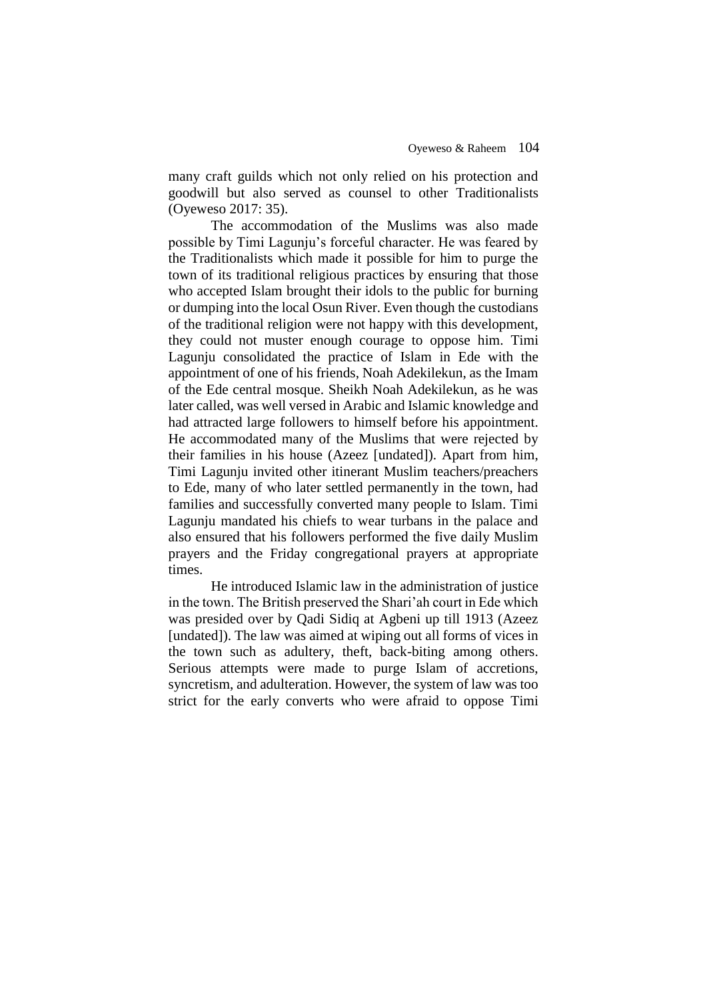many craft guilds which not only relied on his protection and goodwill but also served as counsel to other Traditionalists (Oyeweso 2017: 35).

The accommodation of the Muslims was also made possible by Timi Lagunju's forceful character. He was feared by the Traditionalists which made it possible for him to purge the town of its traditional religious practices by ensuring that those who accepted Islam brought their idols to the public for burning or dumping into the local Osun River. Even though the custodians of the traditional religion were not happy with this development, they could not muster enough courage to oppose him. Timi Lagunju consolidated the practice of Islam in Ede with the appointment of one of his friends, Noah Adekilekun, as the Imam of the Ede central mosque. Sheikh Noah Adekilekun, as he was later called, was well versed in Arabic and Islamic knowledge and had attracted large followers to himself before his appointment. He accommodated many of the Muslims that were rejected by their families in his house (Azeez [undated]). Apart from him, Timi Lagunju invited other itinerant Muslim teachers/preachers to Ede, many of who later settled permanently in the town, had families and successfully converted many people to Islam. Timi Lagunju mandated his chiefs to wear turbans in the palace and also ensured that his followers performed the five daily Muslim prayers and the Friday congregational prayers at appropriate times.

He introduced Islamic law in the administration of justice in the town. The British preserved the Shari'ah court in Ede which was presided over by Qadi Sidiq at Agbeni up till 1913 (Azeez [undated]). The law was aimed at wiping out all forms of vices in the town such as adultery, theft, back-biting among others. Serious attempts were made to purge Islam of accretions, syncretism, and adulteration. However, the system of law was too strict for the early converts who were afraid to oppose Timi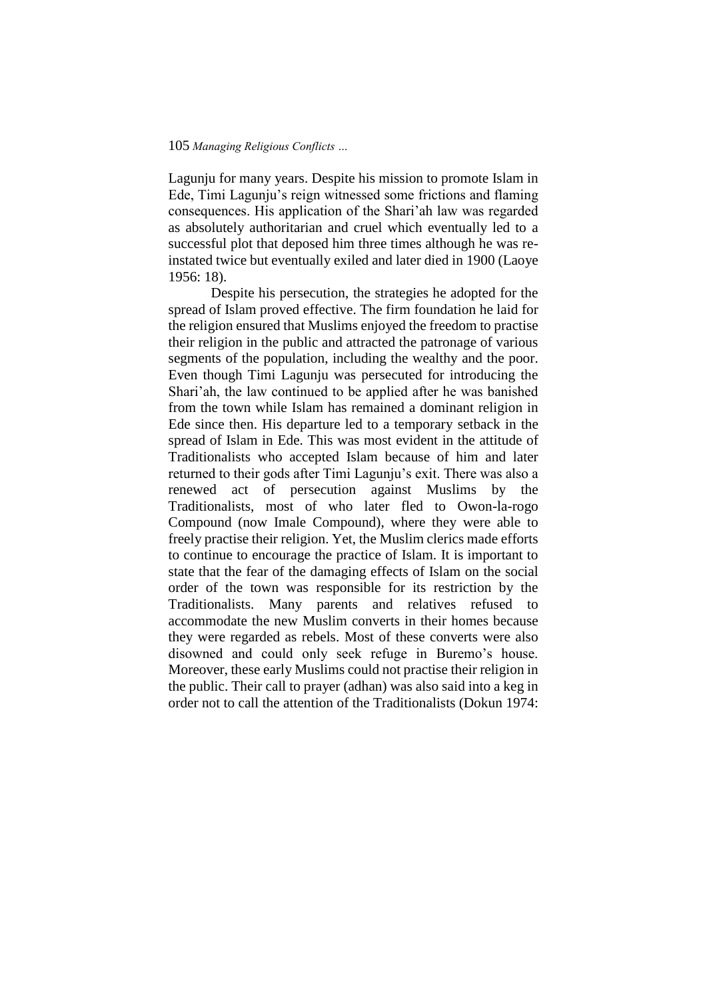Lagunju for many years. Despite his mission to promote Islam in Ede, Timi Lagunju's reign witnessed some frictions and flaming consequences. His application of the Shari'ah law was regarded as absolutely authoritarian and cruel which eventually led to a successful plot that deposed him three times although he was reinstated twice but eventually exiled and later died in 1900 (Laoye 1956: 18).

Despite his persecution, the strategies he adopted for the spread of Islam proved effective. The firm foundation he laid for the religion ensured that Muslims enjoyed the freedom to practise their religion in the public and attracted the patronage of various segments of the population, including the wealthy and the poor. Even though Timi Lagunju was persecuted for introducing the Shari'ah, the law continued to be applied after he was banished from the town while Islam has remained a dominant religion in Ede since then. His departure led to a temporary setback in the spread of Islam in Ede. This was most evident in the attitude of Traditionalists who accepted Islam because of him and later returned to their gods after Timi Lagunju's exit. There was also a renewed act of persecution against Muslims by the Traditionalists, most of who later fled to Owon-la-rogo Compound (now Imale Compound), where they were able to freely practise their religion. Yet, the Muslim clerics made efforts to continue to encourage the practice of Islam. It is important to state that the fear of the damaging effects of Islam on the social order of the town was responsible for its restriction by the Traditionalists. Many parents and relatives refused to accommodate the new Muslim converts in their homes because they were regarded as rebels. Most of these converts were also disowned and could only seek refuge in Buremo's house. Moreover, these early Muslims could not practise their religion in the public. Their call to prayer (adhan) was also said into a keg in order not to call the attention of the Traditionalists (Dokun 1974: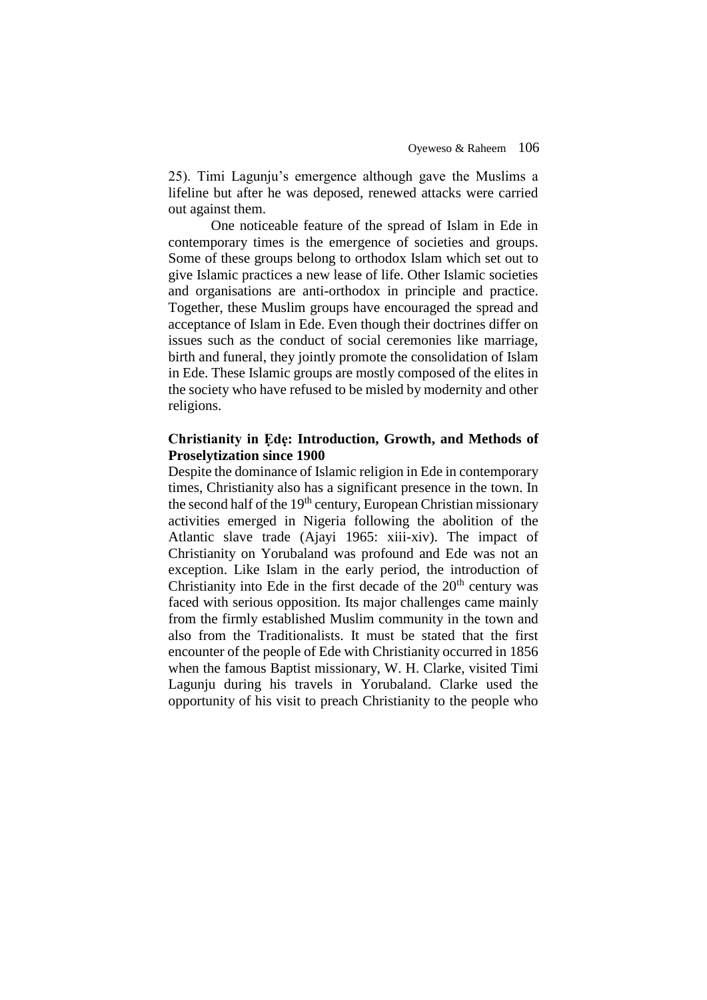25). Timi Lagunju's emergence although gave the Muslims a lifeline but after he was deposed, renewed attacks were carried out against them.

One noticeable feature of the spread of Islam in Ede in contemporary times is the emergence of societies and groups. Some of these groups belong to orthodox Islam which set out to give Islamic practices a new lease of life. Other Islamic societies and organisations are anti-orthodox in principle and practice. Together, these Muslim groups have encouraged the spread and acceptance of Islam in Ede. Even though their doctrines differ on issues such as the conduct of social ceremonies like marriage, birth and funeral, they jointly promote the consolidation of Islam in Ede. These Islamic groups are mostly composed of the elites in the society who have refused to be misled by modernity and other religions.

## **Christianity in Ẹdẹ: Introduction, Growth, and Methods of Proselytization since 1900**

Despite the dominance of Islamic religion in Ede in contemporary times, Christianity also has a significant presence in the town. In the second half of the  $19<sup>th</sup>$  century, European Christian missionary activities emerged in Nigeria following the abolition of the Atlantic slave trade (Ajayi 1965: xiii-xiv). The impact of Christianity on Yorubaland was profound and Ede was not an exception. Like Islam in the early period, the introduction of Christianity into Ede in the first decade of the  $20<sup>th</sup>$  century was faced with serious opposition. Its major challenges came mainly from the firmly established Muslim community in the town and also from the Traditionalists. It must be stated that the first encounter of the people of Ede with Christianity occurred in 1856 when the famous Baptist missionary, W. H. Clarke, visited Timi Lagunju during his travels in Yorubaland. Clarke used the opportunity of his visit to preach Christianity to the people who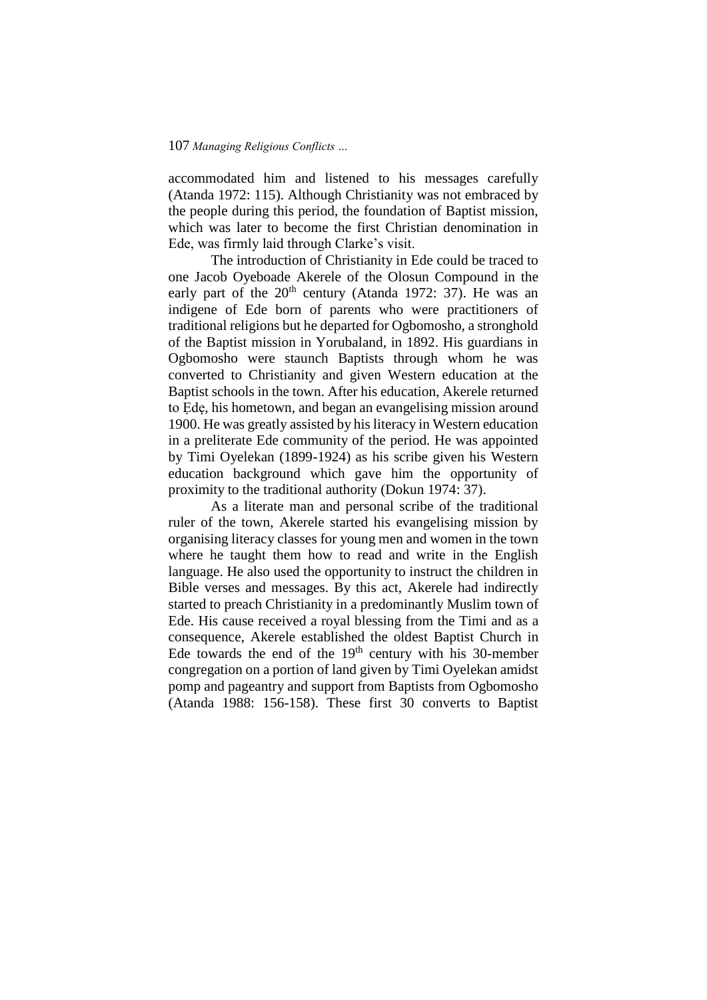accommodated him and listened to his messages carefully (Atanda 1972: 115). Although Christianity was not embraced by the people during this period, the foundation of Baptist mission, which was later to become the first Christian denomination in Ede, was firmly laid through Clarke's visit.

The introduction of Christianity in Ede could be traced to one Jacob Oyeboade Akerele of the Olosun Compound in the early part of the  $20<sup>th</sup>$  century (Atanda 1972: 37). He was an indigene of Ede born of parents who were practitioners of traditional religions but he departed for Ogbomosho, a stronghold of the Baptist mission in Yorubaland, in 1892. His guardians in Ogbomosho were staunch Baptists through whom he was converted to Christianity and given Western education at the Baptist schools in the town. After his education, Akerele returned to Ẹdẹ, his hometown, and began an evangelising mission around 1900. He was greatly assisted by his literacy in Western education in a preliterate Ede community of the period. He was appointed by Timi Oyelekan (1899-1924) as his scribe given his Western education background which gave him the opportunity of proximity to the traditional authority (Dokun 1974: 37).

As a literate man and personal scribe of the traditional ruler of the town, Akerele started his evangelising mission by organising literacy classes for young men and women in the town where he taught them how to read and write in the English language. He also used the opportunity to instruct the children in Bible verses and messages. By this act, Akerele had indirectly started to preach Christianity in a predominantly Muslim town of Ede. His cause received a royal blessing from the Timi and as a consequence, Akerele established the oldest Baptist Church in Ede towards the end of the  $19<sup>th</sup>$  century with his 30-member congregation on a portion of land given by Timi Oyelekan amidst pomp and pageantry and support from Baptists from Ogbomosho (Atanda 1988: 156-158). These first 30 converts to Baptist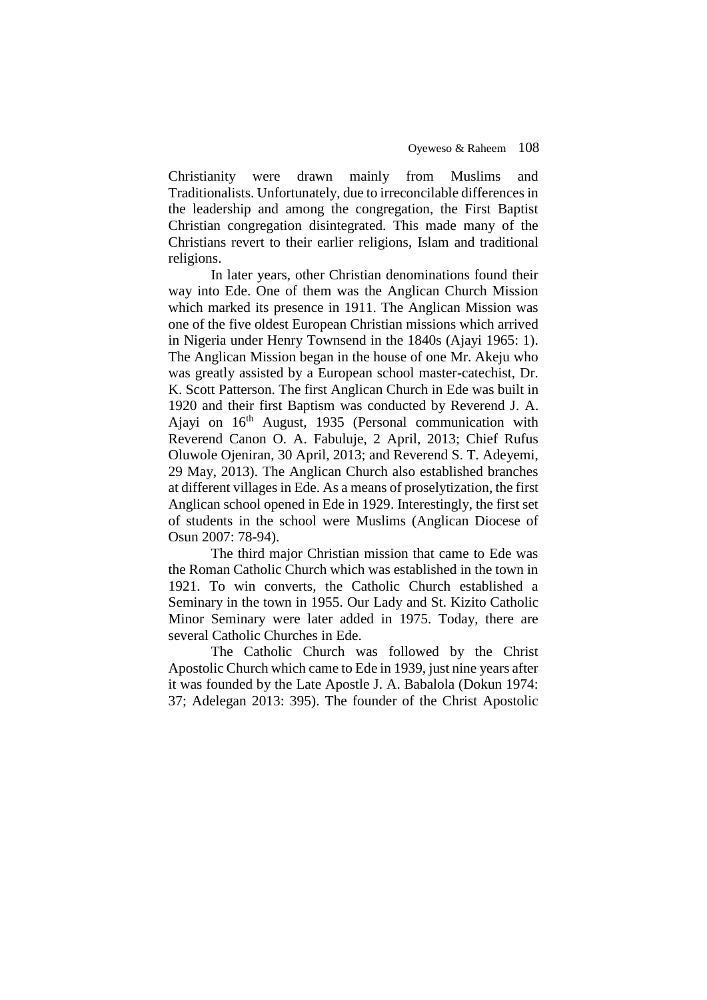Christianity were drawn mainly from Muslims and Traditionalists. Unfortunately, due to irreconcilable differences in the leadership and among the congregation, the First Baptist Christian congregation disintegrated. This made many of the Christians revert to their earlier religions, Islam and traditional religions.

In later years, other Christian denominations found their way into Ede. One of them was the Anglican Church Mission which marked its presence in 1911. The Anglican Mission was one of the five oldest European Christian missions which arrived in Nigeria under Henry Townsend in the 1840s (Ajayi 1965: 1). The Anglican Mission began in the house of one Mr. Akeju who was greatly assisted by a European school master-catechist, Dr. K. Scott Patterson. The first Anglican Church in Ede was built in 1920 and their first Baptism was conducted by Reverend J. A. Ajayi on  $16<sup>th</sup>$  August, 1935 (Personal communication with Reverend Canon O. A. Fabuluje, 2 April, 2013; Chief Rufus Oluwole Ojeniran, 30 April, 2013; and Reverend S. T. Adeyemi, 29 May, 2013). The Anglican Church also established branches at different villages in Ede. As a means of proselytization, the first Anglican school opened in Ede in 1929. Interestingly, the first set of students in the school were Muslims (Anglican Diocese of Osun 2007: 78-94).

The third major Christian mission that came to Ede was the Roman Catholic Church which was established in the town in 1921. To win converts, the Catholic Church established a Seminary in the town in 1955. Our Lady and St. Kizito Catholic Minor Seminary were later added in 1975. Today, there are several Catholic Churches in Ede.

The Catholic Church was followed by the Christ Apostolic Church which came to Ede in 1939, just nine years after it was founded by the Late Apostle J. A. Babalola (Dokun 1974: 37; Adelegan 2013: 395). The founder of the Christ Apostolic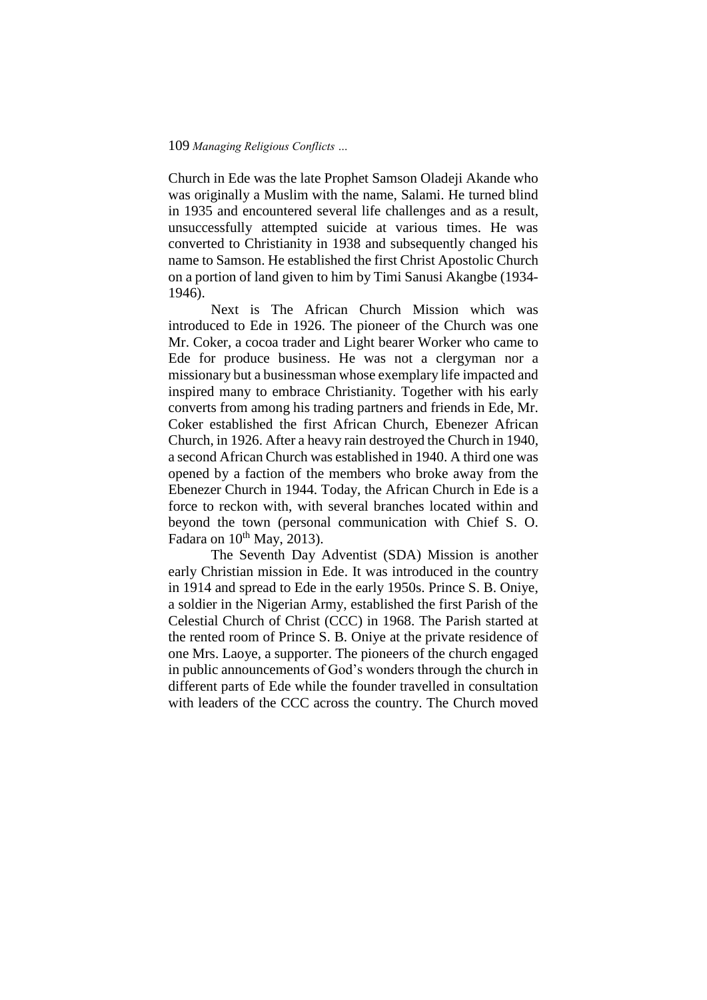Church in Ede was the late Prophet Samson Oladeji Akande who was originally a Muslim with the name, Salami. He turned blind in 1935 and encountered several life challenges and as a result, unsuccessfully attempted suicide at various times. He was converted to Christianity in 1938 and subsequently changed his name to Samson. He established the first Christ Apostolic Church on a portion of land given to him by Timi Sanusi Akangbe (1934- 1946).

Next is The African Church Mission which was introduced to Ede in 1926. The pioneer of the Church was one Mr. Coker, a cocoa trader and Light bearer Worker who came to Ede for produce business. He was not a clergyman nor a missionary but a businessman whose exemplary life impacted and inspired many to embrace Christianity. Together with his early converts from among his trading partners and friends in Ede, Mr. Coker established the first African Church, Ebenezer African Church, in 1926. After a heavy rain destroyed the Church in 1940, a second African Church was established in 1940. A third one was opened by a faction of the members who broke away from the Ebenezer Church in 1944. Today, the African Church in Ede is a force to reckon with, with several branches located within and beyond the town (personal communication with Chief S. O. Fadara on  $10^{th}$  May, 2013).

The Seventh Day Adventist (SDA) Mission is another early Christian mission in Ede. It was introduced in the country in 1914 and spread to Ede in the early 1950s. Prince S. B. Oniye, a soldier in the Nigerian Army, established the first Parish of the Celestial Church of Christ (CCC) in 1968. The Parish started at the rented room of Prince S. B. Oniye at the private residence of one Mrs. Laoye, a supporter. The pioneers of the church engaged in public announcements of God's wonders through the church in different parts of Ede while the founder travelled in consultation with leaders of the CCC across the country. The Church moved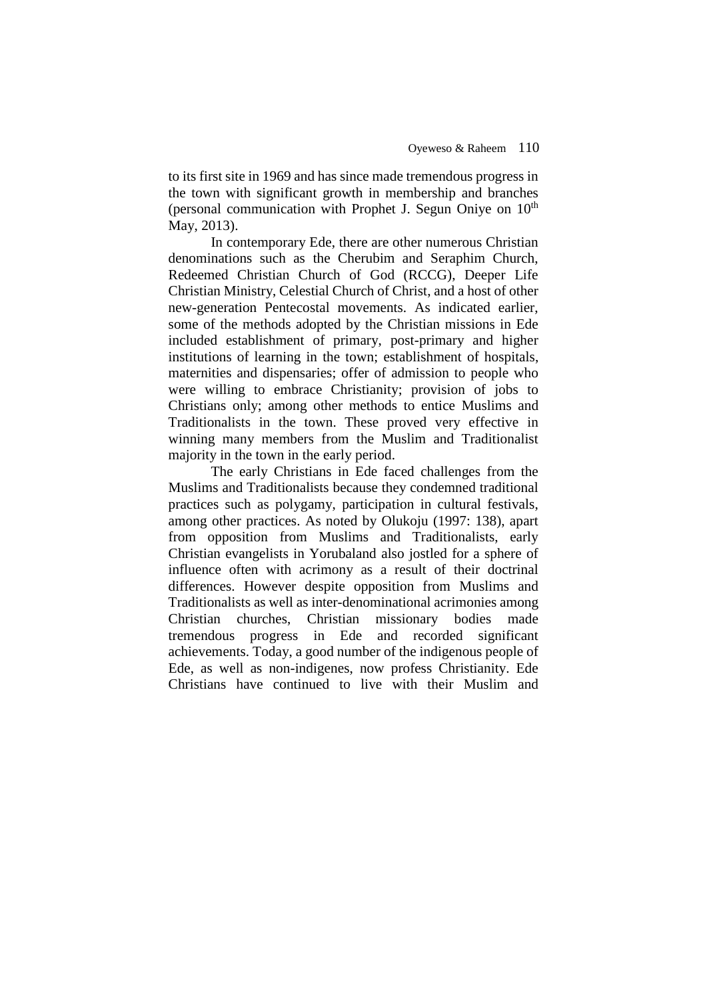to its first site in 1969 and has since made tremendous progress in the town with significant growth in membership and branches (personal communication with Prophet J. Segun Oniye on 10<sup>th</sup> May, 2013).

In contemporary Ede, there are other numerous Christian denominations such as the Cherubim and Seraphim Church, Redeemed Christian Church of God (RCCG), Deeper Life Christian Ministry, Celestial Church of Christ, and a host of other new-generation Pentecostal movements. As indicated earlier, some of the methods adopted by the Christian missions in Ede included establishment of primary, post-primary and higher institutions of learning in the town; establishment of hospitals, maternities and dispensaries; offer of admission to people who were willing to embrace Christianity; provision of jobs to Christians only; among other methods to entice Muslims and Traditionalists in the town. These proved very effective in winning many members from the Muslim and Traditionalist majority in the town in the early period.

The early Christians in Ede faced challenges from the Muslims and Traditionalists because they condemned traditional practices such as polygamy, participation in cultural festivals, among other practices. As noted by Olukoju (1997: 138), apart from opposition from Muslims and Traditionalists, early Christian evangelists in Yorubaland also jostled for a sphere of influence often with acrimony as a result of their doctrinal differences. However despite opposition from Muslims and Traditionalists as well as inter-denominational acrimonies among Christian churches, Christian missionary bodies made tremendous progress in Ede and recorded significant achievements. Today, a good number of the indigenous people of Ede, as well as non-indigenes, now profess Christianity. Ede Christians have continued to live with their Muslim and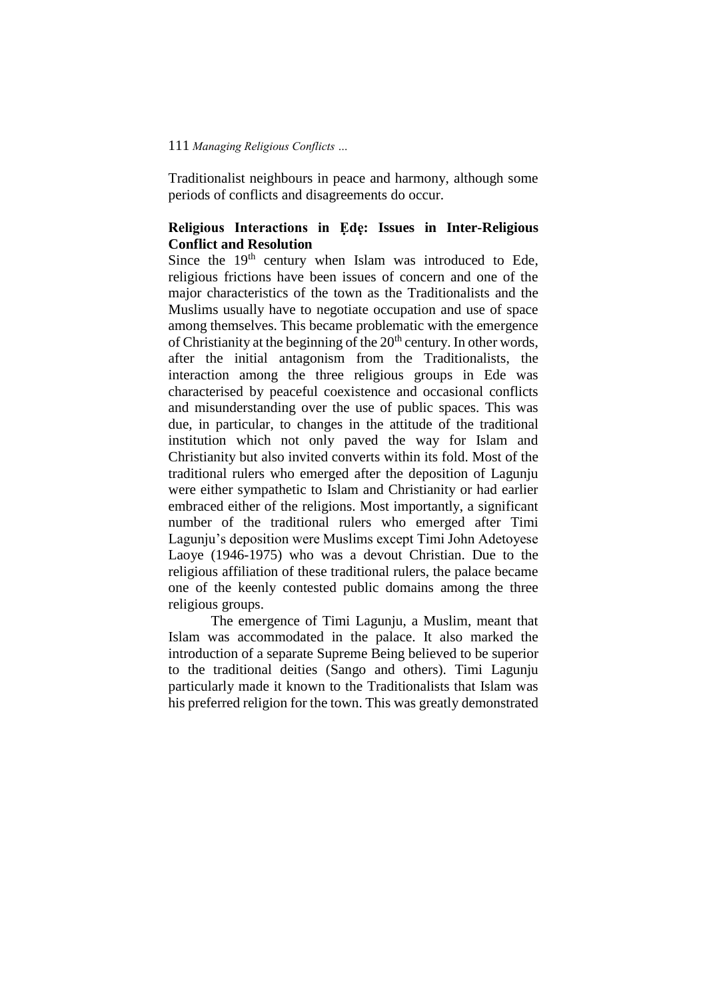Traditionalist neighbours in peace and harmony, although some periods of conflicts and disagreements do occur.

## **Religious Interactions in Ẹdẹ: Issues in Inter-Religious Conflict and Resolution**

Since the  $19<sup>th</sup>$  century when Islam was introduced to Ede, religious frictions have been issues of concern and one of the major characteristics of the town as the Traditionalists and the Muslims usually have to negotiate occupation and use of space among themselves. This became problematic with the emergence of Christianity at the beginning of the  $20<sup>th</sup>$  century. In other words, after the initial antagonism from the Traditionalists, the interaction among the three religious groups in Ede was characterised by peaceful coexistence and occasional conflicts and misunderstanding over the use of public spaces. This was due, in particular, to changes in the attitude of the traditional institution which not only paved the way for Islam and Christianity but also invited converts within its fold. Most of the traditional rulers who emerged after the deposition of Lagunju were either sympathetic to Islam and Christianity or had earlier embraced either of the religions. Most importantly, a significant number of the traditional rulers who emerged after Timi Lagunju's deposition were Muslims except Timi John Adetoyese Laoye (1946-1975) who was a devout Christian. Due to the religious affiliation of these traditional rulers, the palace became one of the keenly contested public domains among the three religious groups.

The emergence of Timi Lagunju, a Muslim, meant that Islam was accommodated in the palace. It also marked the introduction of a separate Supreme Being believed to be superior to the traditional deities (Sango and others). Timi Lagunju particularly made it known to the Traditionalists that Islam was his preferred religion for the town. This was greatly demonstrated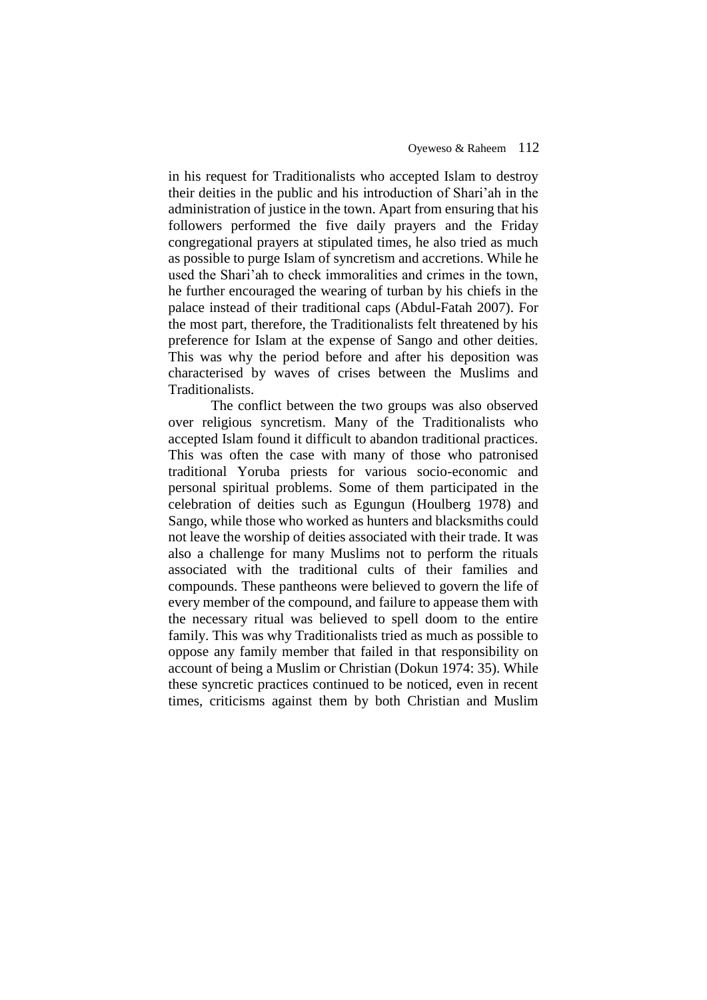in his request for Traditionalists who accepted Islam to destroy their deities in the public and his introduction of Shari'ah in the administration of justice in the town. Apart from ensuring that his followers performed the five daily prayers and the Friday congregational prayers at stipulated times, he also tried as much as possible to purge Islam of syncretism and accretions. While he used the Shari'ah to check immoralities and crimes in the town, he further encouraged the wearing of turban by his chiefs in the palace instead of their traditional caps (Abdul-Fatah 2007). For the most part, therefore, the Traditionalists felt threatened by his preference for Islam at the expense of Sango and other deities. This was why the period before and after his deposition was characterised by waves of crises between the Muslims and Traditionalists.

The conflict between the two groups was also observed over religious syncretism. Many of the Traditionalists who accepted Islam found it difficult to abandon traditional practices. This was often the case with many of those who patronised traditional Yoruba priests for various socio-economic and personal spiritual problems. Some of them participated in the celebration of deities such as Egungun (Houlberg 1978) and Sango, while those who worked as hunters and blacksmiths could not leave the worship of deities associated with their trade. It was also a challenge for many Muslims not to perform the rituals associated with the traditional cults of their families and compounds. These pantheons were believed to govern the life of every member of the compound, and failure to appease them with the necessary ritual was believed to spell doom to the entire family. This was why Traditionalists tried as much as possible to oppose any family member that failed in that responsibility on account of being a Muslim or Christian (Dokun 1974: 35). While these syncretic practices continued to be noticed, even in recent times, criticisms against them by both Christian and Muslim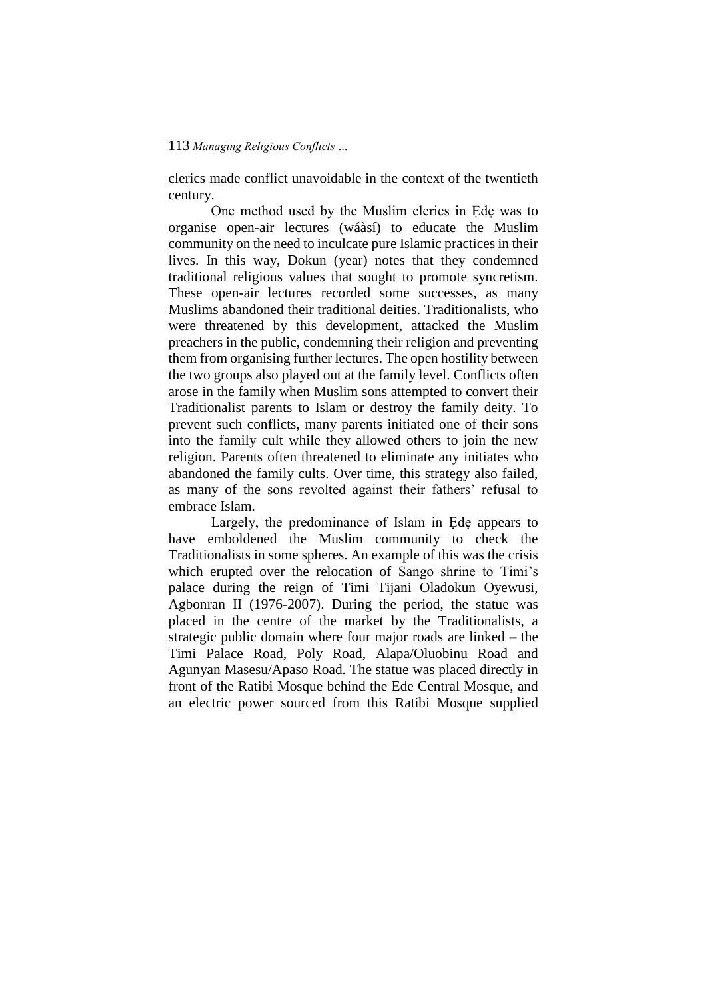clerics made conflict unavoidable in the context of the twentieth century.

One method used by the Muslim clerics in Ede was to organise open-air lectures (wáàsí) to educate the Muslim community on the need to inculcate pure Islamic practices in their lives. In this way, Dokun (year) notes that they condemned traditional religious values that sought to promote syncretism. These open-air lectures recorded some successes, as many Muslims abandoned their traditional deities. Traditionalists, who were threatened by this development, attacked the Muslim preachers in the public, condemning their religion and preventing them from organising further lectures. The open hostility between the two groups also played out at the family level. Conflicts often arose in the family when Muslim sons attempted to convert their Traditionalist parents to Islam or destroy the family deity. To prevent such conflicts, many parents initiated one of their sons into the family cult while they allowed others to join the new religion. Parents often threatened to eliminate any initiates who abandoned the family cults. Over time, this strategy also failed, as many of the sons revolted against their fathers' refusal to embrace Islam.

Largely, the predominance of Islam in Ede appears to have emboldened the Muslim community to check the Traditionalists in some spheres. An example of this was the crisis which erupted over the relocation of Sango shrine to Timi's palace during the reign of Timi Tijani Oladokun Oyewusi, Agbonran II (1976-2007). During the period, the statue was placed in the centre of the market by the Traditionalists, a strategic public domain where four major roads are linked – the Timi Palace Road, Poly Road, Alapa/Oluobinu Road and Agunyan Masesu/Apaso Road. The statue was placed directly in front of the Ratibi Mosque behind the Ede Central Mosque, and an electric power sourced from this Ratibi Mosque supplied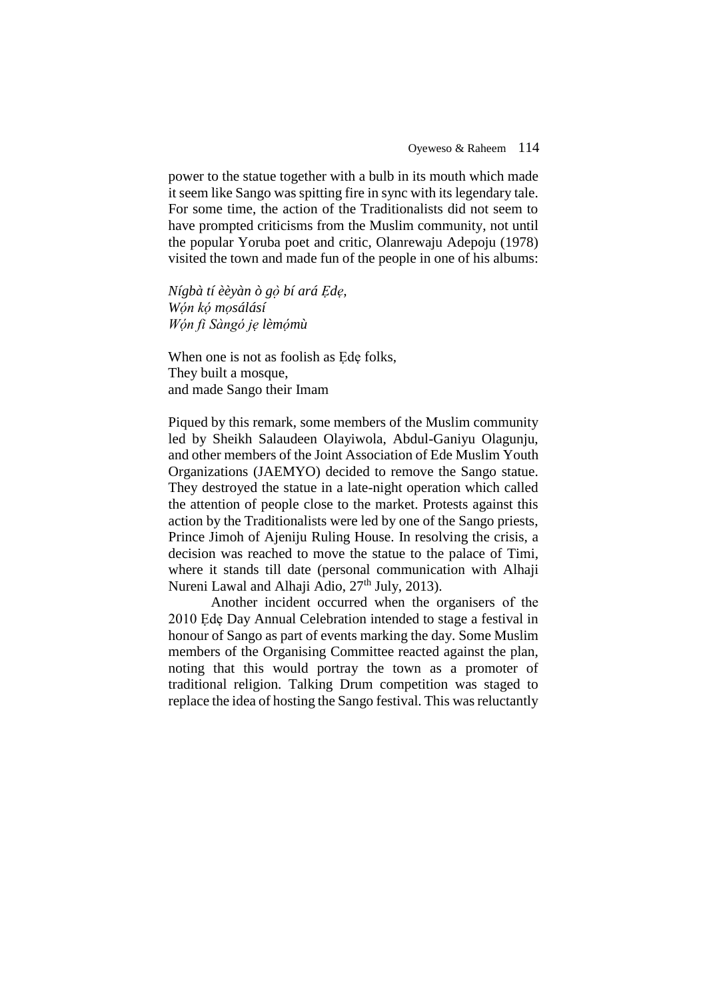power to the statue together with a bulb in its mouth which made it seem like Sango was spitting fire in sync with its legendary tale. For some time, the action of the Traditionalists did not seem to have prompted criticisms from the Muslim community, not until the popular Yoruba poet and critic, Olanrewaju Adepoju (1978) visited the town and made fun of the people in one of his albums:

*Nígbà tí èèyàn ò gọ̀bí ará Ẹdẹ, Wóṇ kọ́mọsálásí Wón fi Sàngó jẹ ̣ lèmóṃ ù*

When one is not as foolish as Ede folks, They built a mosque, and made Sango their Imam

Piqued by this remark, some members of the Muslim community led by Sheikh Salaudeen Olayiwola, Abdul-Ganiyu Olagunju, and other members of the Joint Association of Ede Muslim Youth Organizations (JAEMYO) decided to remove the Sango statue. They destroyed the statue in a late-night operation which called the attention of people close to the market. Protests against this action by the Traditionalists were led by one of the Sango priests, Prince Jimoh of Ajeniju Ruling House. In resolving the crisis, a decision was reached to move the statue to the palace of Timi, where it stands till date (personal communication with Alhaji Nureni Lawal and Alhaji Adio, 27<sup>th</sup> July, 2013).

Another incident occurred when the organisers of the 2010 Ede Day Annual Celebration intended to stage a festival in honour of Sango as part of events marking the day. Some Muslim members of the Organising Committee reacted against the plan, noting that this would portray the town as a promoter of traditional religion. Talking Drum competition was staged to replace the idea of hosting the Sango festival. This was reluctantly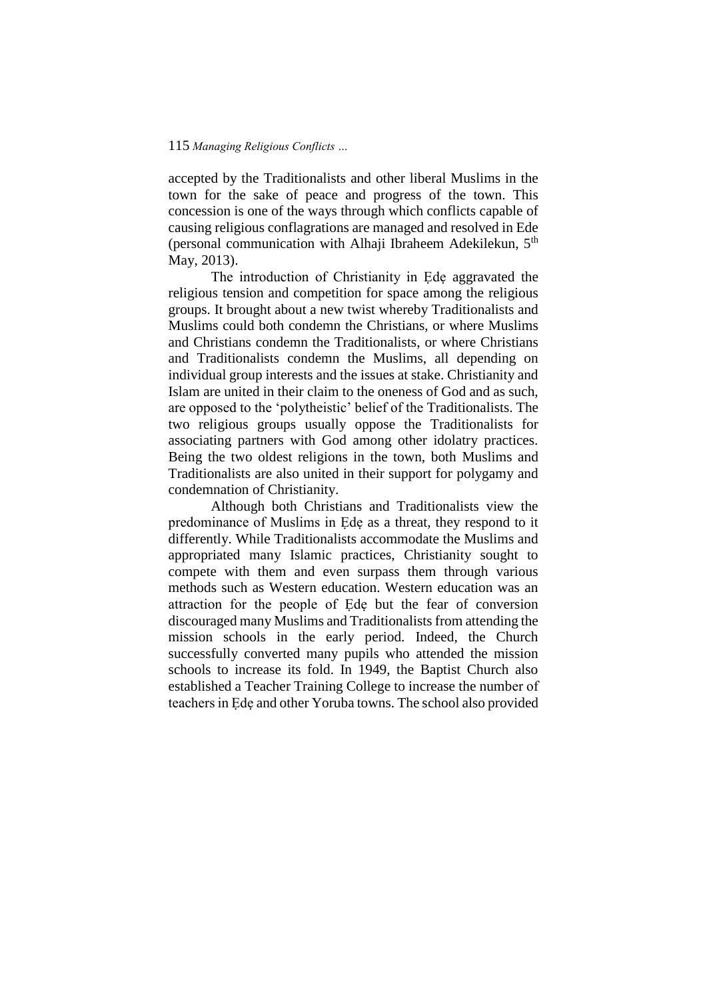accepted by the Traditionalists and other liberal Muslims in the town for the sake of peace and progress of the town. This concession is one of the ways through which conflicts capable of causing religious conflagrations are managed and resolved in Ede (personal communication with Alhaji Ibraheem Adekilekun, 5<sup>th</sup> May, 2013).

The introduction of Christianity in Ẹdẹ aggravated the religious tension and competition for space among the religious groups. It brought about a new twist whereby Traditionalists and Muslims could both condemn the Christians, or where Muslims and Christians condemn the Traditionalists, or where Christians and Traditionalists condemn the Muslims, all depending on individual group interests and the issues at stake. Christianity and Islam are united in their claim to the oneness of God and as such, are opposed to the 'polytheistic' belief of the Traditionalists. The two religious groups usually oppose the Traditionalists for associating partners with God among other idolatry practices. Being the two oldest religions in the town, both Muslims and Traditionalists are also united in their support for polygamy and condemnation of Christianity.

Although both Christians and Traditionalists view the predominance of Muslims in Ede as a threat, they respond to it differently. While Traditionalists accommodate the Muslims and appropriated many Islamic practices, Christianity sought to compete with them and even surpass them through various methods such as Western education. Western education was an attraction for the people of Ede but the fear of conversion discouraged many Muslims and Traditionalists from attending the mission schools in the early period. Indeed, the Church successfully converted many pupils who attended the mission schools to increase its fold. In 1949, the Baptist Church also established a Teacher Training College to increase the number of teachers in Ẹdẹ and other Yoruba towns. The school also provided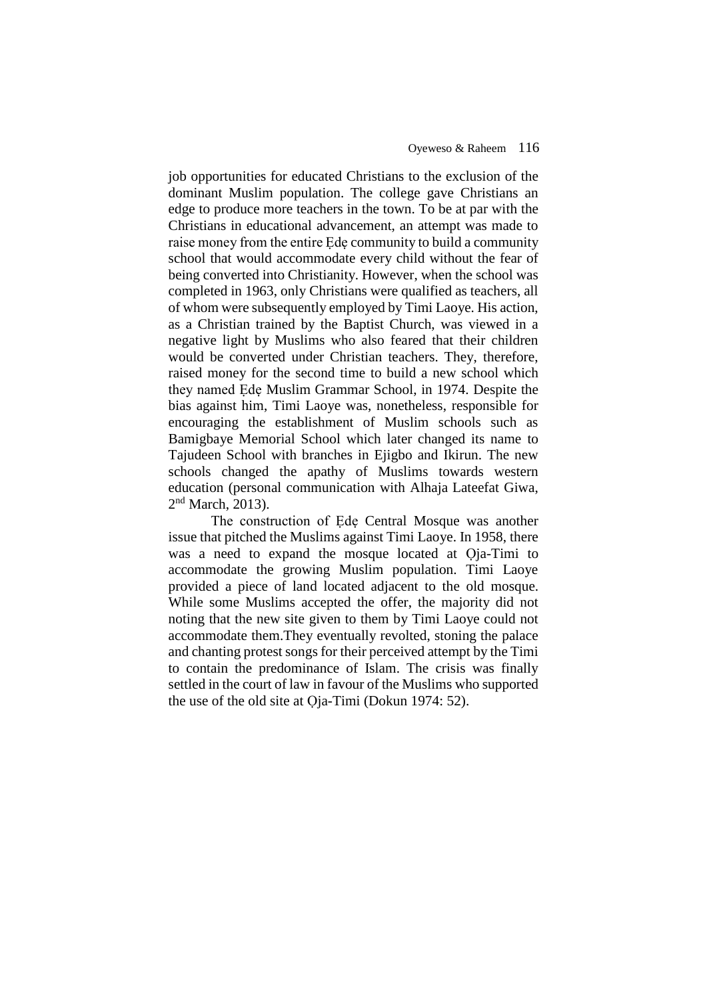job opportunities for educated Christians to the exclusion of the dominant Muslim population. The college gave Christians an edge to produce more teachers in the town. To be at par with the Christians in educational advancement, an attempt was made to raise money from the entire Ede community to build a community school that would accommodate every child without the fear of being converted into Christianity. However, when the school was completed in 1963, only Christians were qualified as teachers, all of whom were subsequently employed by Timi Laoye. His action, as a Christian trained by the Baptist Church, was viewed in a negative light by Muslims who also feared that their children would be converted under Christian teachers. They, therefore, raised money for the second time to build a new school which they named Ẹdẹ Muslim Grammar School, in 1974. Despite the bias against him, Timi Laoye was, nonetheless, responsible for encouraging the establishment of Muslim schools such as Bamigbaye Memorial School which later changed its name to Tajudeen School with branches in Ejigbo and Ikirun. The new schools changed the apathy of Muslims towards western education (personal communication with Alhaja Lateefat Giwa, 2<sup>nd</sup> March, 2013).

The construction of Ẹdẹ Central Mosque was another issue that pitched the Muslims against Timi Laoye. In 1958, there was a need to expand the mosque located at Oja-Timi to accommodate the growing Muslim population. Timi Laoye provided a piece of land located adjacent to the old mosque. While some Muslims accepted the offer, the majority did not noting that the new site given to them by Timi Laoye could not accommodate them.They eventually revolted, stoning the palace and chanting protest songs for their perceived attempt by the Timi to contain the predominance of Islam. The crisis was finally settled in the court of law in favour of the Muslims who supported the use of the old site at Ọja-Timi (Dokun 1974: 52).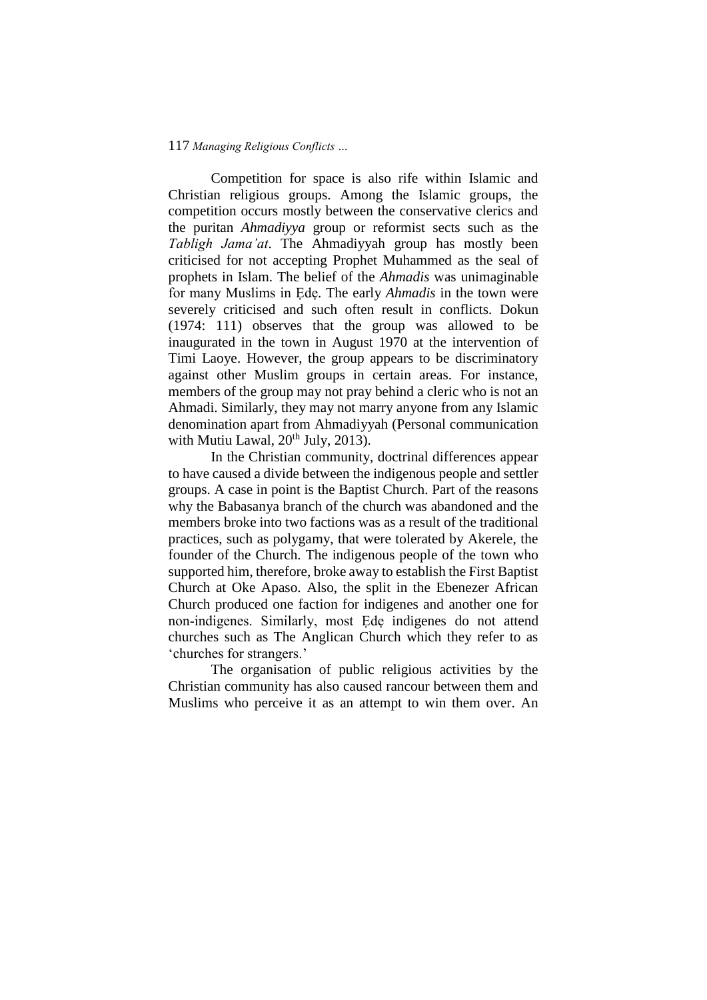Competition for space is also rife within Islamic and Christian religious groups. Among the Islamic groups, the competition occurs mostly between the conservative clerics and the puritan *Ahmadiyya* group or reformist sects such as the *Tabligh Jama'at*. The Ahmadiyyah group has mostly been criticised for not accepting Prophet Muhammed as the seal of prophets in Islam. The belief of the *Ahmadis* was unimaginable for many Muslims in Ẹdẹ. The early *Ahmadis* in the town were severely criticised and such often result in conflicts. Dokun (1974: 111) observes that the group was allowed to be inaugurated in the town in August 1970 at the intervention of Timi Laoye. However, the group appears to be discriminatory against other Muslim groups in certain areas. For instance, members of the group may not pray behind a cleric who is not an Ahmadi. Similarly, they may not marry anyone from any Islamic denomination apart from Ahmadiyyah (Personal communication with Mutiu Lawal, 20<sup>th</sup> July, 2013).

In the Christian community, doctrinal differences appear to have caused a divide between the indigenous people and settler groups. A case in point is the Baptist Church. Part of the reasons why the Babasanya branch of the church was abandoned and the members broke into two factions was as a result of the traditional practices, such as polygamy, that were tolerated by Akerele, the founder of the Church. The indigenous people of the town who supported him, therefore, broke away to establish the First Baptist Church at Oke Apaso. Also, the split in the Ebenezer African Church produced one faction for indigenes and another one for non-indigenes. Similarly, most Ẹdẹ indigenes do not attend churches such as The Anglican Church which they refer to as 'churches for strangers.'

The organisation of public religious activities by the Christian community has also caused rancour between them and Muslims who perceive it as an attempt to win them over. An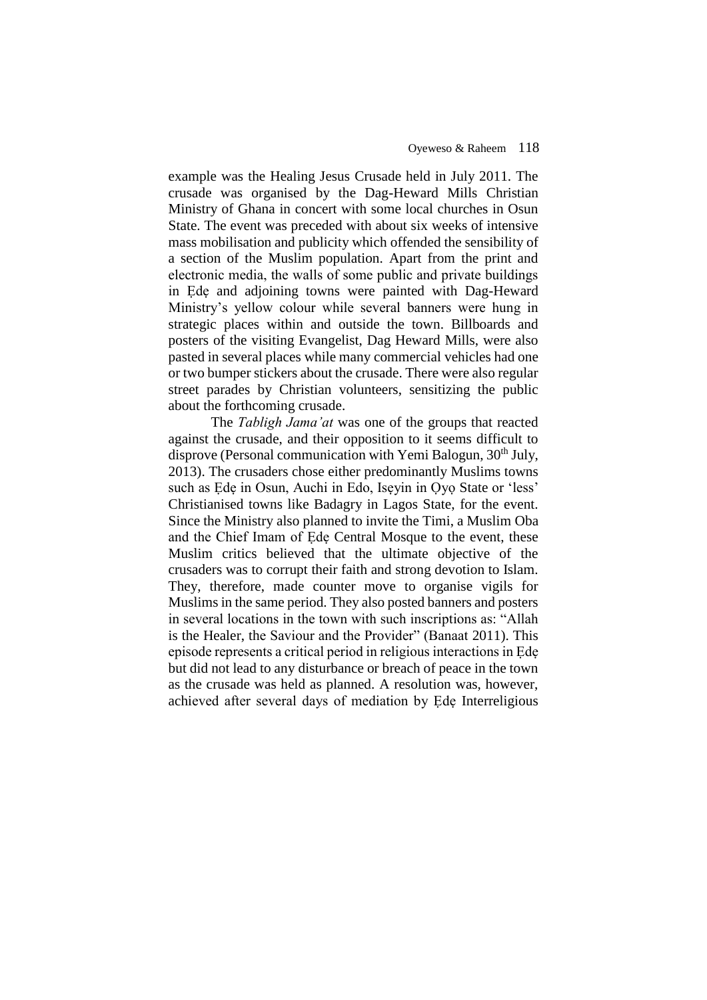example was the Healing Jesus Crusade held in July 2011. The crusade was organised by the Dag-Heward Mills Christian Ministry of Ghana in concert with some local churches in Osun State. The event was preceded with about six weeks of intensive mass mobilisation and publicity which offended the sensibility of a section of the Muslim population. Apart from the print and electronic media, the walls of some public and private buildings in Ẹdẹ and adjoining towns were painted with Dag-Heward Ministry's yellow colour while several banners were hung in strategic places within and outside the town. Billboards and posters of the visiting Evangelist, Dag Heward Mills, were also pasted in several places while many commercial vehicles had one or two bumper stickers about the crusade. There were also regular street parades by Christian volunteers, sensitizing the public about the forthcoming crusade.

The *Tabligh Jama'at* was one of the groups that reacted against the crusade, and their opposition to it seems difficult to disprove (Personal communication with Yemi Balogun,  $30<sup>th</sup>$  July, 2013). The crusaders chose either predominantly Muslims towns such as Ede in Osun, Auchi in Edo, Iseyin in Oyo State or 'less' Christianised towns like Badagry in Lagos State, for the event. Since the Ministry also planned to invite the Timi, a Muslim Oba and the Chief Imam of Ẹdẹ Central Mosque to the event, these Muslim critics believed that the ultimate objective of the crusaders was to corrupt their faith and strong devotion to Islam. They, therefore, made counter move to organise vigils for Muslims in the same period. They also posted banners and posters in several locations in the town with such inscriptions as: "Allah is the Healer, the Saviour and the Provider" (Banaat 2011). This episode represents a critical period in religious interactions in Ẹdẹ but did not lead to any disturbance or breach of peace in the town as the crusade was held as planned. A resolution was, however, achieved after several days of mediation by Ẹdẹ Interreligious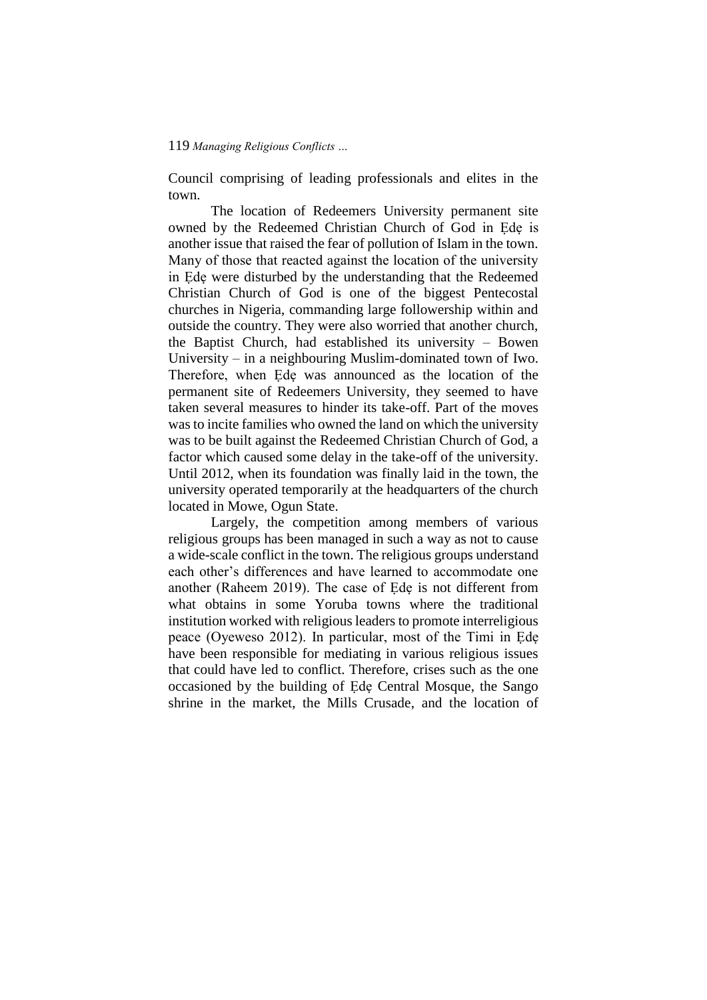Council comprising of leading professionals and elites in the town.

The location of Redeemers University permanent site owned by the Redeemed Christian Church of God in Ẹdẹ is another issue that raised the fear of pollution of Islam in the town. Many of those that reacted against the location of the university in Ẹdẹ were disturbed by the understanding that the Redeemed Christian Church of God is one of the biggest Pentecostal churches in Nigeria, commanding large followership within and outside the country. They were also worried that another church, the Baptist Church, had established its university – Bowen University – in a neighbouring Muslim-dominated town of Iwo. Therefore, when Ede was announced as the location of the permanent site of Redeemers University, they seemed to have taken several measures to hinder its take-off. Part of the moves was to incite families who owned the land on which the university was to be built against the Redeemed Christian Church of God, a factor which caused some delay in the take-off of the university. Until 2012, when its foundation was finally laid in the town, the university operated temporarily at the headquarters of the church located in Mowe, Ogun State.

Largely, the competition among members of various religious groups has been managed in such a way as not to cause a wide-scale conflict in the town. The religious groups understand each other's differences and have learned to accommodate one another (Raheem 2019). The case of Ẹdẹ is not different from what obtains in some Yoruba towns where the traditional institution worked with religious leaders to promote interreligious peace (Oyeweso 2012). In particular, most of the Timi in Ẹdẹ have been responsible for mediating in various religious issues that could have led to conflict. Therefore, crises such as the one occasioned by the building of Ẹdẹ Central Mosque, the Sango shrine in the market, the Mills Crusade, and the location of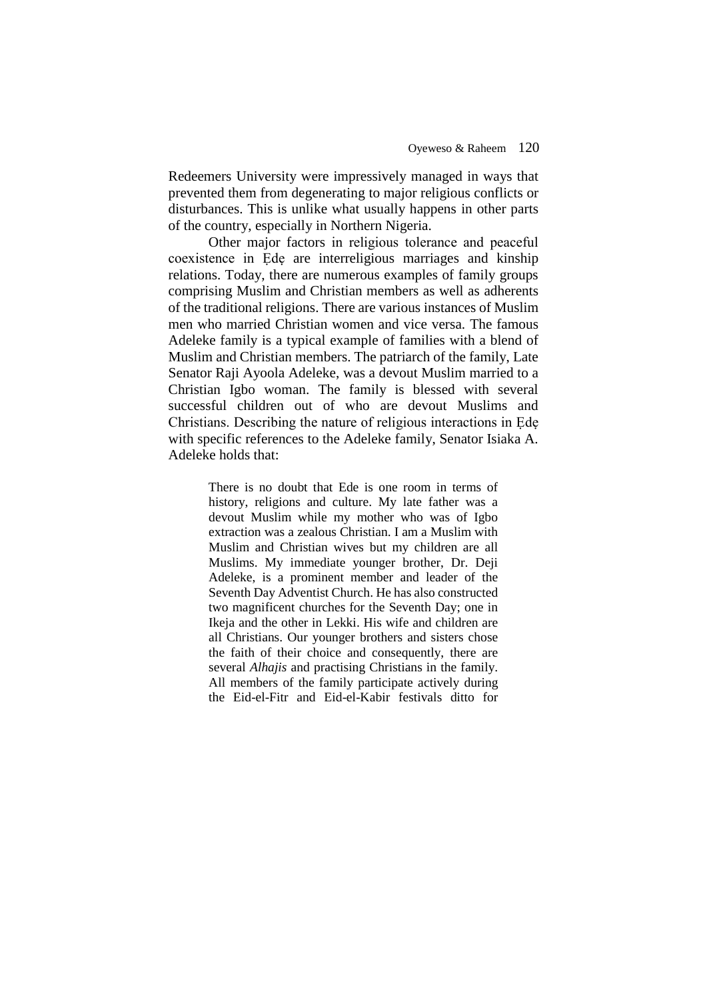Redeemers University were impressively managed in ways that prevented them from degenerating to major religious conflicts or disturbances. This is unlike what usually happens in other parts of the country, especially in Northern Nigeria.

Other major factors in religious tolerance and peaceful coexistence in Ẹdẹ are interreligious marriages and kinship relations. Today, there are numerous examples of family groups comprising Muslim and Christian members as well as adherents of the traditional religions. There are various instances of Muslim men who married Christian women and vice versa. The famous Adeleke family is a typical example of families with a blend of Muslim and Christian members. The patriarch of the family, Late Senator Raji Ayoola Adeleke, was a devout Muslim married to a Christian Igbo woman. The family is blessed with several successful children out of who are devout Muslims and Christians. Describing the nature of religious interactions in Ẹdẹ with specific references to the Adeleke family, Senator Isiaka A. Adeleke holds that:

> There is no doubt that Ede is one room in terms of history, religions and culture. My late father was a devout Muslim while my mother who was of Igbo extraction was a zealous Christian. I am a Muslim with Muslim and Christian wives but my children are all Muslims. My immediate younger brother, Dr. Deji Adeleke, is a prominent member and leader of the Seventh Day Adventist Church. He has also constructed two magnificent churches for the Seventh Day; one in Ikeja and the other in Lekki. His wife and children are all Christians. Our younger brothers and sisters chose the faith of their choice and consequently, there are several *Alhajis* and practising Christians in the family. All members of the family participate actively during the Eid-el-Fitr and Eid-el-Kabir festivals ditto for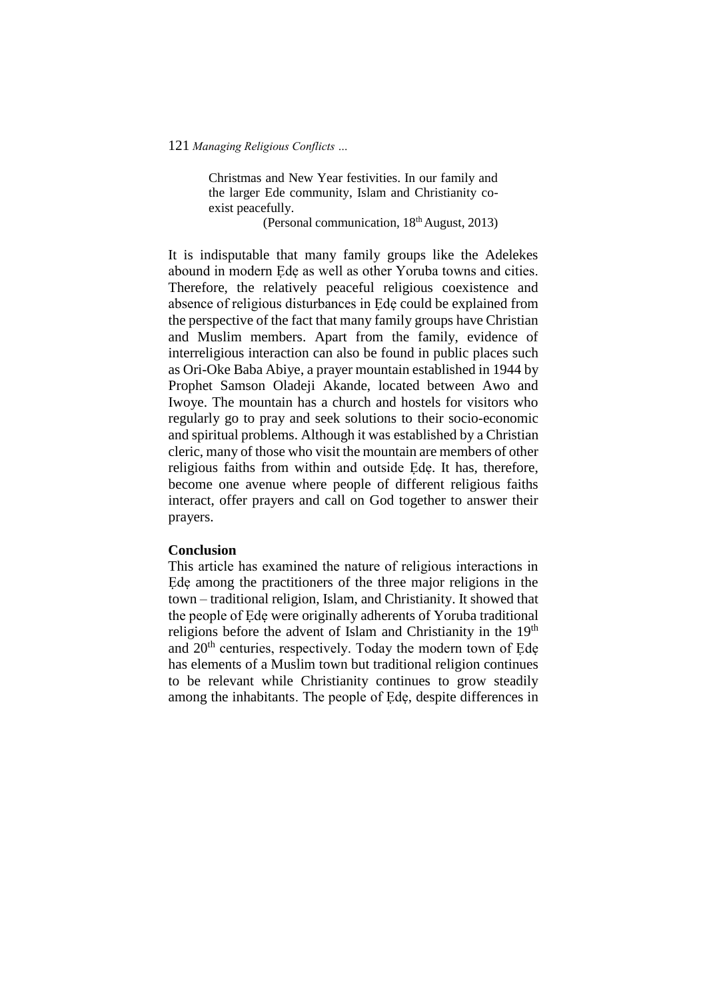Christmas and New Year festivities. In our family and the larger Ede community, Islam and Christianity coexist peacefully.

(Personal communication,  $18<sup>th</sup>$  August, 2013)

It is indisputable that many family groups like the Adelekes abound in modern Ẹdẹ as well as other Yoruba towns and cities. Therefore, the relatively peaceful religious coexistence and absence of religious disturbances in Ẹdẹ could be explained from the perspective of the fact that many family groups have Christian and Muslim members. Apart from the family, evidence of interreligious interaction can also be found in public places such as Ori-Oke Baba Abiye, a prayer mountain established in 1944 by Prophet Samson Oladeji Akande, located between Awo and Iwoye. The mountain has a church and hostels for visitors who regularly go to pray and seek solutions to their socio-economic and spiritual problems. Although it was established by a Christian cleric, many of those who visit the mountain are members of other religious faiths from within and outside Ẹdẹ. It has, therefore, become one avenue where people of different religious faiths interact, offer prayers and call on God together to answer their prayers.

### **Conclusion**

This article has examined the nature of religious interactions in Ede among the practitioners of the three major religions in the town – traditional religion, Islam, and Christianity. It showed that the people of Ẹdẹ were originally adherents of Yoruba traditional religions before the advent of Islam and Christianity in the 19<sup>th</sup> and 20<sup>th</sup> centuries, respectively. Today the modern town of Ede has elements of a Muslim town but traditional religion continues to be relevant while Christianity continues to grow steadily among the inhabitants. The people of Ẹdẹ, despite differences in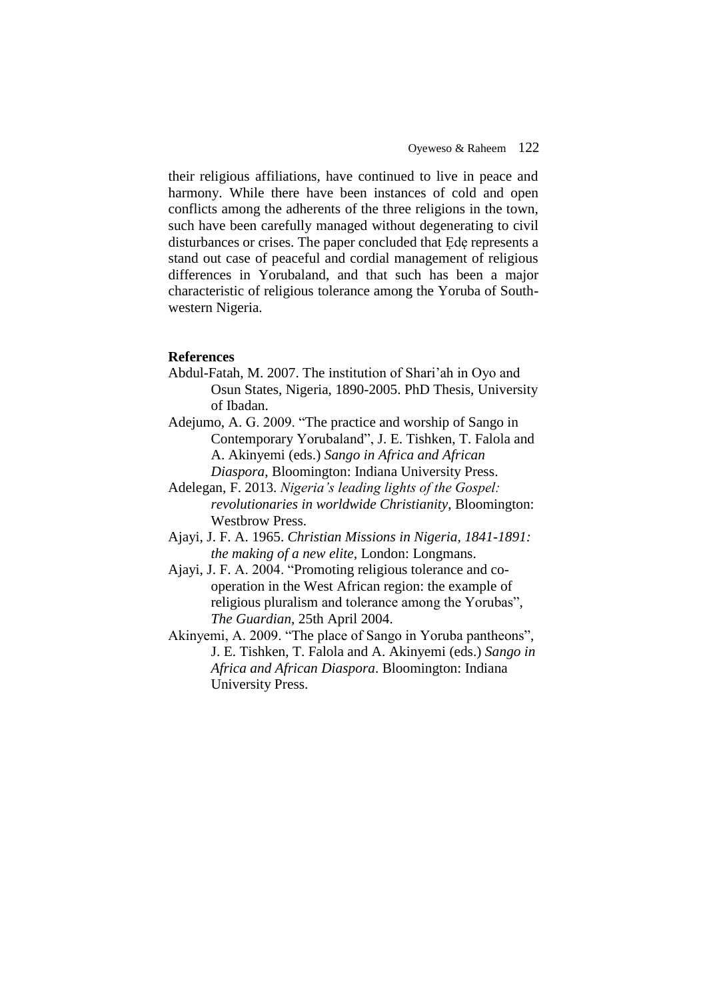their religious affiliations, have continued to live in peace and harmony. While there have been instances of cold and open conflicts among the adherents of the three religions in the town, such have been carefully managed without degenerating to civil disturbances or crises. The paper concluded that Ede represents a stand out case of peaceful and cordial management of religious differences in Yorubaland, and that such has been a major characteristic of religious tolerance among the Yoruba of Southwestern Nigeria.

## **References**

- Abdul-Fatah, M. 2007. The institution of Shari'ah in Oyo and Osun States, Nigeria, 1890-2005. PhD Thesis, University of Ibadan.
- Adejumo, A. G. 2009. "The practice and worship of Sango in Contemporary Yorubaland", J. E. Tishken, T. Falola and A. Akinyemi (eds.) *Sango in Africa and African Diaspora*, Bloomington: Indiana University Press.
- Adelegan, F. 2013. *Nigeria's leading lights of the Gospel: revolutionaries in worldwide Christianity*, Bloomington: Westbrow Press.
- Ajayi, J. F. A. 1965. *Christian Missions in Nigeria, 1841-1891: the making of a new elite,* London: Longmans.
- Ajayi, J. F. A. 2004. "Promoting religious tolerance and cooperation in the West African region: the example of religious pluralism and tolerance among the Yorubas", *The Guardian*, 25th April 2004.
- Akinyemi, A. 2009. "The place of Sango in Yoruba pantheons", J. E. Tishken, T. Falola and A. Akinyemi (eds.) *Sango in Africa and African Diaspora*. Bloomington: Indiana University Press.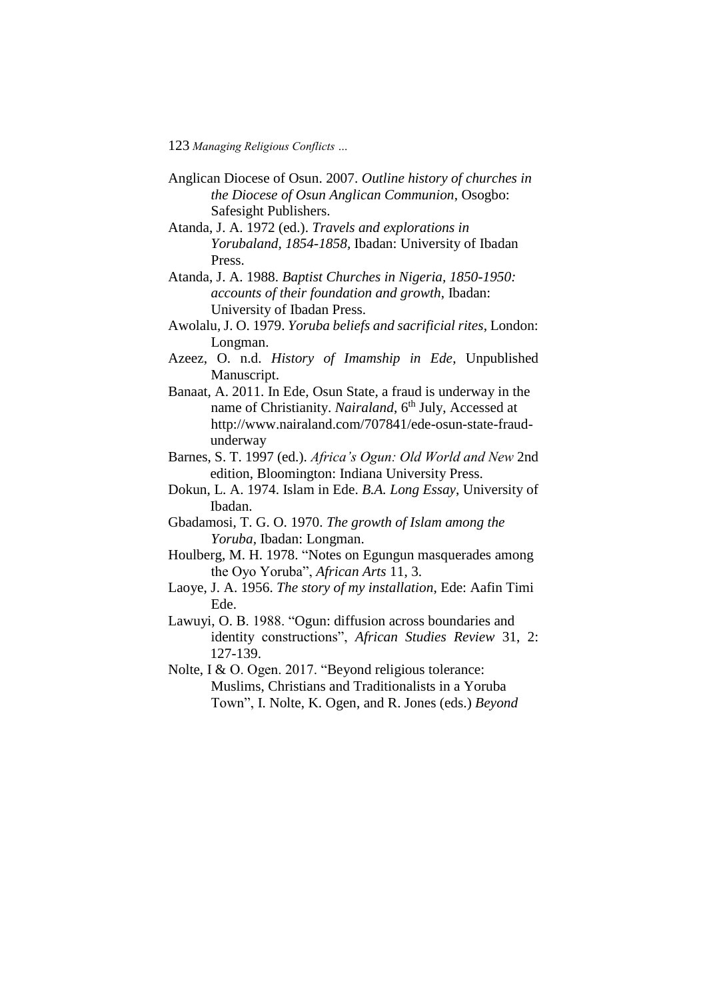- Anglican Diocese of Osun. 2007. *Outline history of churches in the Diocese of Osun Anglican Communion*, Osogbo: Safesight Publishers.
- Atanda, J. A. 1972 (ed.). *Travels and explorations in Yorubaland, 1854-1858,* Ibadan: University of Ibadan Press.
- Atanda, J. A. 1988. *Baptist Churches in Nigeria, 1850-1950: accounts of their foundation and growth*, Ibadan: University of Ibadan Press.
- Awolalu, J. O. 1979. *Yoruba beliefs and sacrificial rites*, London: Longman.
- Azeez, O. n.d. *History of Imamship in Ede*, Unpublished Manuscript.
- Banaat, A. 2011. In Ede*,* Osun State*,* a fraud is underway in the name of Christianity. *Nairaland*, 6<sup>th</sup> July, Accessed at http://www.nairaland.com/707841/ede-osun-state-fraudunderway
- Barnes, S. T. 1997 (ed.). *Africa's Ogun: Old World and New* 2nd edition, Bloomington: Indiana University Press.
- Dokun, L. A. 1974. Islam in Ede. *B.A. Long Essay*, University of Ibadan.
- Gbadamosi, T. G. O. 1970. *The growth of Islam among the Yoruba,* Ibadan: Longman.
- Houlberg, M. H. 1978. "Notes on Egungun masquerades among the Oyo Yoruba", *African Arts* 11, 3.
- Laoye, J. A. 1956. *The story of my installation*, Ede: Aafin Timi Ede.
- Lawuyi, O. B. 1988. "Ogun: diffusion across boundaries and identity constructions", *African Studies Review* 31, 2: 127-139.
- Nolte, I & O. Ogen. 2017. "Beyond religious tolerance: Muslims, Christians and Traditionalists in a Yoruba Town", I. Nolte, K. Ogen, and R. Jones (eds.) *Beyond*